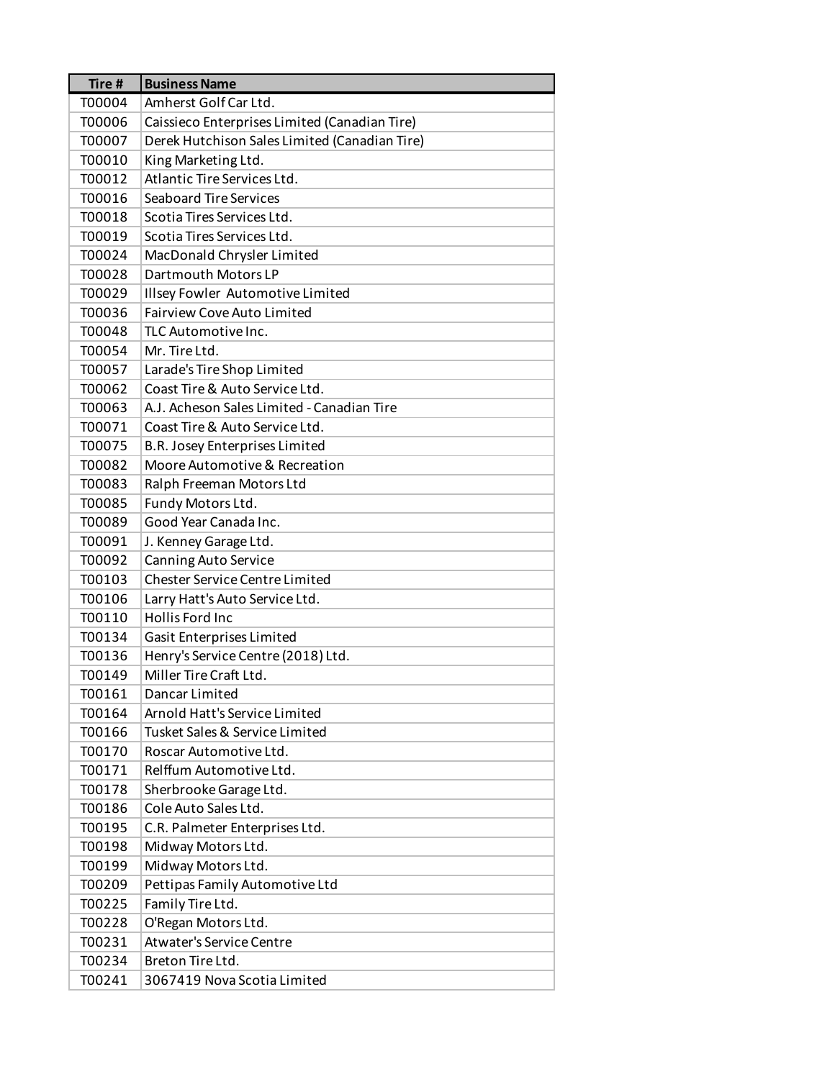| Tire # | <b>Business Name</b>                          |
|--------|-----------------------------------------------|
| T00004 | Amherst Golf Car Ltd.                         |
| T00006 | Caissieco Enterprises Limited (Canadian Tire) |
| T00007 | Derek Hutchison Sales Limited (Canadian Tire) |
| T00010 | King Marketing Ltd.                           |
| T00012 | Atlantic Tire Services Ltd.                   |
| T00016 | <b>Seaboard Tire Services</b>                 |
| T00018 | Scotia Tires Services Ltd.                    |
| T00019 | Scotia Tires Services Ltd.                    |
| T00024 | MacDonald Chrysler Limited                    |
| T00028 | Dartmouth Motors LP                           |
| T00029 | Illsey Fowler Automotive Limited              |
| T00036 | Fairview Cove Auto Limited                    |
| T00048 | TLC Automotive Inc.                           |
| T00054 | Mr. Tire Ltd.                                 |
| T00057 | Larade's Tire Shop Limited                    |
| T00062 | Coast Tire & Auto Service Ltd.                |
| T00063 | A.J. Acheson Sales Limited - Canadian Tire    |
| T00071 | Coast Tire & Auto Service Ltd.                |
| T00075 | B.R. Josey Enterprises Limited                |
| T00082 | Moore Automotive & Recreation                 |
| T00083 | Ralph Freeman Motors Ltd                      |
| T00085 | Fundy Motors Ltd.                             |
| T00089 | Good Year Canada Inc.                         |
| T00091 | J. Kenney Garage Ltd.                         |
| T00092 | <b>Canning Auto Service</b>                   |
| T00103 | <b>Chester Service Centre Limited</b>         |
| T00106 | Larry Hatt's Auto Service Ltd.                |
| T00110 | Hollis Ford Inc                               |
| T00134 | Gasit Enterprises Limited                     |
| T00136 | Henry's Service Centre (2018) Ltd.            |
| T00149 | Miller Tire Craft Ltd.                        |
| T00161 | Dancar Limited                                |
| T00164 | Arnold Hatt's Service Limited                 |
| T00166 | Tusket Sales & Service Limited                |
| T00170 | Roscar Automotive Ltd.                        |
| T00171 | Relffum Automotive Ltd.                       |
| T00178 | Sherbrooke Garage Ltd.                        |
| T00186 | Cole Auto Sales Ltd.                          |
| T00195 | C.R. Palmeter Enterprises Ltd.                |
| T00198 | Midway Motors Ltd.                            |
| T00199 | Midway Motors Ltd.                            |
| T00209 | Pettipas Family Automotive Ltd                |
| T00225 | Family Tire Ltd.                              |
| T00228 | O'Regan Motors Ltd.                           |
| T00231 | <b>Atwater's Service Centre</b>               |
| T00234 | Breton Tire Ltd.                              |
| T00241 | 3067419 Nova Scotia Limited                   |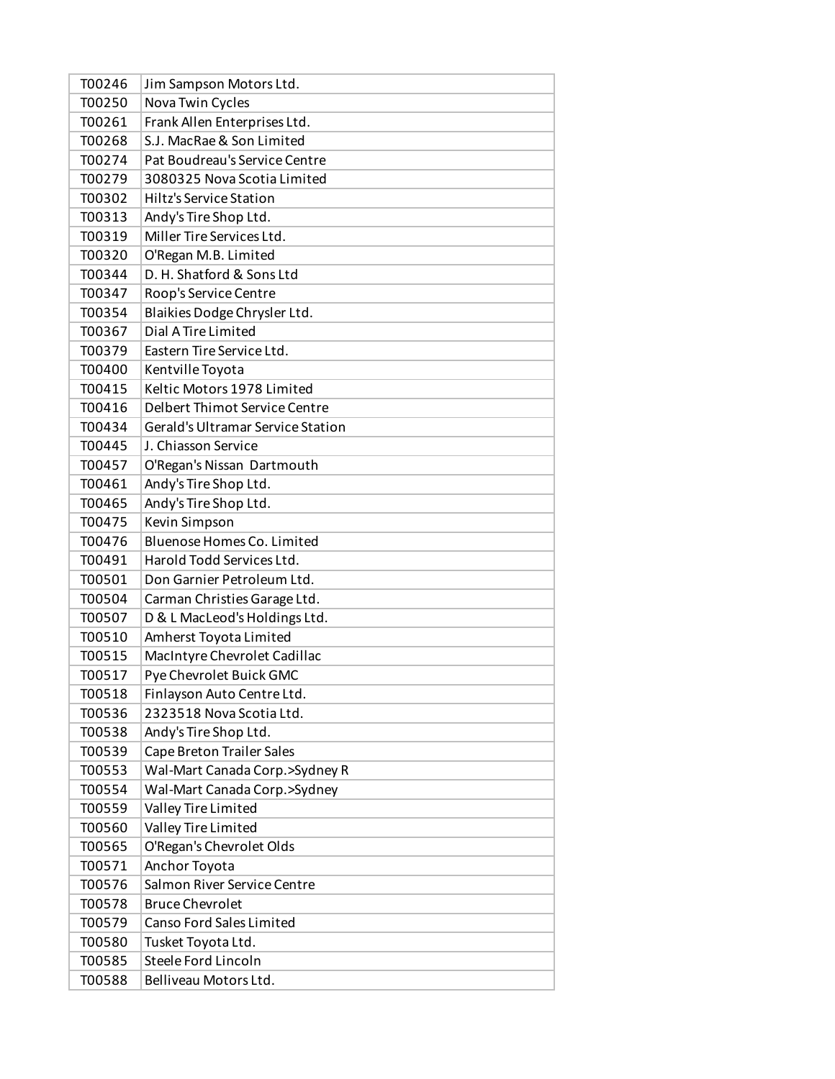| T00246 | Jim Sampson Motors Ltd.           |
|--------|-----------------------------------|
| T00250 | Nova Twin Cycles                  |
| T00261 | Frank Allen Enterprises Ltd.      |
| T00268 | S.J. MacRae & Son Limited         |
| T00274 | Pat Boudreau's Service Centre     |
| T00279 | 3080325 Nova Scotia Limited       |
| T00302 | <b>Hiltz's Service Station</b>    |
| T00313 | Andy's Tire Shop Ltd.             |
| T00319 | Miller Tire Services Ltd.         |
| T00320 | O'Regan M.B. Limited              |
| T00344 | D. H. Shatford & Sons Ltd         |
| T00347 | Roop's Service Centre             |
| T00354 | Blaikies Dodge Chrysler Ltd.      |
| T00367 | Dial A Tire Limited               |
| T00379 | Eastern Tire Service Ltd.         |
| T00400 | Kentville Toyota                  |
| T00415 | Keltic Motors 1978 Limited        |
| T00416 | Delbert Thimot Service Centre     |
| T00434 | Gerald's Ultramar Service Station |
| T00445 | J. Chiasson Service               |
| T00457 | O'Regan's Nissan Dartmouth        |
| T00461 | Andy's Tire Shop Ltd.             |
| T00465 | Andy's Tire Shop Ltd.             |
| T00475 | Kevin Simpson                     |
| T00476 | Bluenose Homes Co. Limited        |
| T00491 | Harold Todd Services Ltd.         |
| T00501 | Don Garnier Petroleum Ltd.        |
| T00504 | Carman Christies Garage Ltd.      |
| T00507 | D & L MacLeod's Holdings Ltd.     |
| T00510 | Amherst Toyota Limited            |
| T00515 | MacIntyre Chevrolet Cadillac      |
| T00517 | Pye Chevrolet Buick GMC           |
| T00518 | Finlayson Auto Centre Ltd.        |
| T00536 | 2323518 Nova Scotia Ltd.          |
| T00538 | Andy's Tire Shop Ltd.             |
| T00539 | <b>Cape Breton Trailer Sales</b>  |
| T00553 | Wal-Mart Canada Corp.>Sydney R    |
| T00554 | Wal-Mart Canada Corp.>Sydney      |
| T00559 | Valley Tire Limited               |
| T00560 | Valley Tire Limited               |
| T00565 | O'Regan's Chevrolet Olds          |
| T00571 | Anchor Toyota                     |
| T00576 | Salmon River Service Centre       |
| T00578 | <b>Bruce Chevrolet</b>            |
| T00579 | Canso Ford Sales Limited          |
| T00580 | Tusket Toyota Ltd.                |
| T00585 | Steele Ford Lincoln               |
| T00588 | Belliveau Motors Ltd.             |
|        |                                   |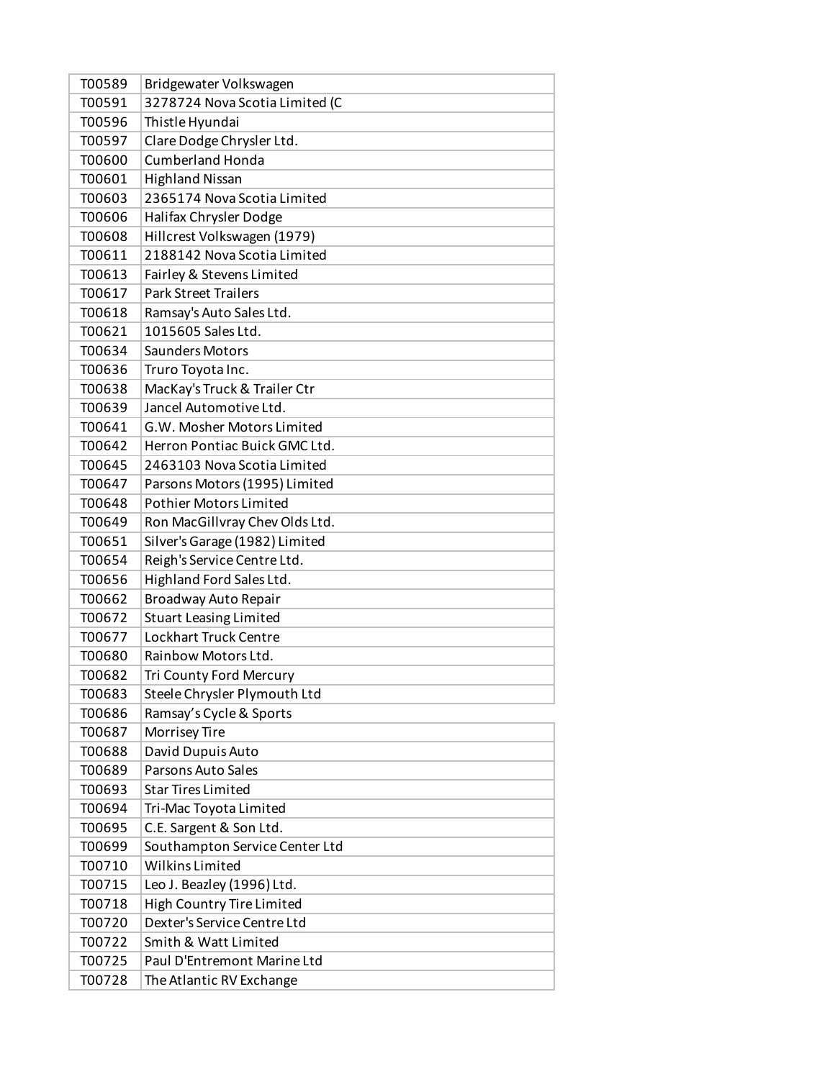| T00589 | Bridgewater Volkswagen         |
|--------|--------------------------------|
| T00591 | 3278724 Nova Scotia Limited (C |
| T00596 | Thistle Hyundai                |
| T00597 | Clare Dodge Chrysler Ltd.      |
| T00600 | <b>Cumberland Honda</b>        |
| T00601 | <b>Highland Nissan</b>         |
| T00603 | 2365174 Nova Scotia Limited    |
| T00606 | Halifax Chrysler Dodge         |
| T00608 | Hillcrest Volkswagen (1979)    |
| T00611 | 2188142 Nova Scotia Limited    |
| T00613 | Fairley & Stevens Limited      |
| T00617 | <b>Park Street Trailers</b>    |
| T00618 | Ramsay's Auto Sales Ltd.       |
| T00621 | 1015605 Sales Ltd.             |
| T00634 | <b>Saunders Motors</b>         |
| T00636 | Truro Toyota Inc.              |
| T00638 | MacKay's Truck & Trailer Ctr   |
| T00639 | Jancel Automotive Ltd.         |
| T00641 | G.W. Mosher Motors Limited     |
| T00642 | Herron Pontiac Buick GMC Ltd.  |
| T00645 | 2463103 Nova Scotia Limited    |
| T00647 | Parsons Motors (1995) Limited  |
| T00648 | <b>Pothier Motors Limited</b>  |
| T00649 | Ron MacGillvray Chev Olds Ltd. |
| T00651 | Silver's Garage (1982) Limited |
| T00654 | Reigh's Service Centre Ltd.    |
| T00656 | Highland Ford Sales Ltd.       |
| T00662 | Broadway Auto Repair           |
| T00672 | <b>Stuart Leasing Limited</b>  |
| T00677 | <b>Lockhart Truck Centre</b>   |
| T00680 | Rainbow Motors Ltd.            |
| T00682 | Tri County Ford Mercury        |
| T00683 | Steele Chrysler Plymouth Ltd   |
| T00686 | Ramsay's Cycle & Sports        |
| T00687 | Morrisey Tire                  |
| T00688 | David Dupuis Auto              |
| T00689 | Parsons Auto Sales             |
| T00693 | <b>Star Tires Limited</b>      |
| T00694 | Tri-Mac Toyota Limited         |
| T00695 | C.E. Sargent & Son Ltd.        |
| T00699 | Southampton Service Center Ltd |
| T00710 | <b>Wilkins Limited</b>         |
| T00715 | Leo J. Beazley (1996) Ltd.     |
| T00718 | High Country Tire Limited      |
| T00720 | Dexter's Service Centre Ltd    |
| T00722 | Smith & Watt Limited           |
| T00725 | Paul D'Entremont Marine Ltd    |
| T00728 | The Atlantic RV Exchange       |
|        |                                |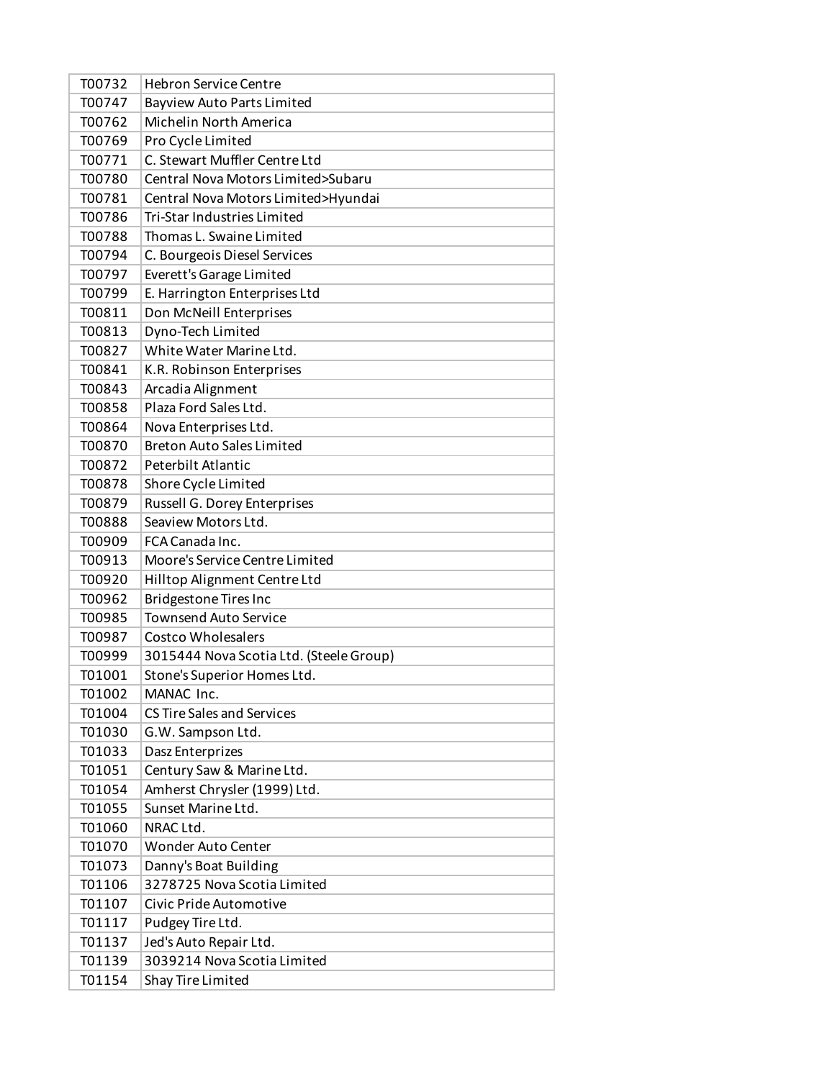| T00732 | <b>Hebron Service Centre</b>            |
|--------|-----------------------------------------|
| T00747 | <b>Bayview Auto Parts Limited</b>       |
| T00762 | Michelin North America                  |
| T00769 | Pro Cycle Limited                       |
| T00771 | C. Stewart Muffler Centre Ltd           |
| T00780 | Central Nova Motors Limited>Subaru      |
| T00781 | Central Nova Motors Limited>Hyundai     |
| T00786 | Tri-Star Industries Limited             |
| T00788 | Thomas L. Swaine Limited                |
| T00794 | C. Bourgeois Diesel Services            |
| T00797 | Everett's Garage Limited                |
| T00799 | E. Harrington Enterprises Ltd           |
| T00811 | Don McNeill Enterprises                 |
| T00813 | Dyno-Tech Limited                       |
| T00827 | White Water Marine Ltd.                 |
| T00841 | K.R. Robinson Enterprises               |
| T00843 | Arcadia Alignment                       |
| T00858 | Plaza Ford Sales Ltd.                   |
| T00864 | Nova Enterprises Ltd.                   |
| T00870 | <b>Breton Auto Sales Limited</b>        |
| T00872 | Peterbilt Atlantic                      |
| T00878 | Shore Cycle Limited                     |
| T00879 | Russell G. Dorey Enterprises            |
| T00888 | Seaview Motors Ltd.                     |
| T00909 | FCA Canada Inc.                         |
| T00913 | Moore's Service Centre Limited          |
| T00920 | Hilltop Alignment Centre Ltd            |
| T00962 | <b>Bridgestone Tires Inc</b>            |
| T00985 | <b>Townsend Auto Service</b>            |
| T00987 | <b>Costco Wholesalers</b>               |
| T00999 | 3015444 Nova Scotia Ltd. (Steele Group) |
| T01001 | Stone's Superior Homes Ltd.             |
| T01002 | MANAC Inc.                              |
| T01004 | <b>CS Tire Sales and Services</b>       |
| T01030 | G.W. Sampson Ltd.                       |
| T01033 | Dasz Enterprizes                        |
| T01051 | Century Saw & Marine Ltd.               |
| T01054 | Amherst Chrysler (1999) Ltd.            |
| T01055 | Sunset Marine Ltd.                      |
| T01060 | NRAC Ltd.                               |
| T01070 | <b>Wonder Auto Center</b>               |
| T01073 | Danny's Boat Building                   |
| T01106 | 3278725 Nova Scotia Limited             |
| T01107 | Civic Pride Automotive                  |
| T01117 | Pudgey Tire Ltd.                        |
| T01137 | Jed's Auto Repair Ltd.                  |
| T01139 | 3039214 Nova Scotia Limited             |
| T01154 | Shay Tire Limited                       |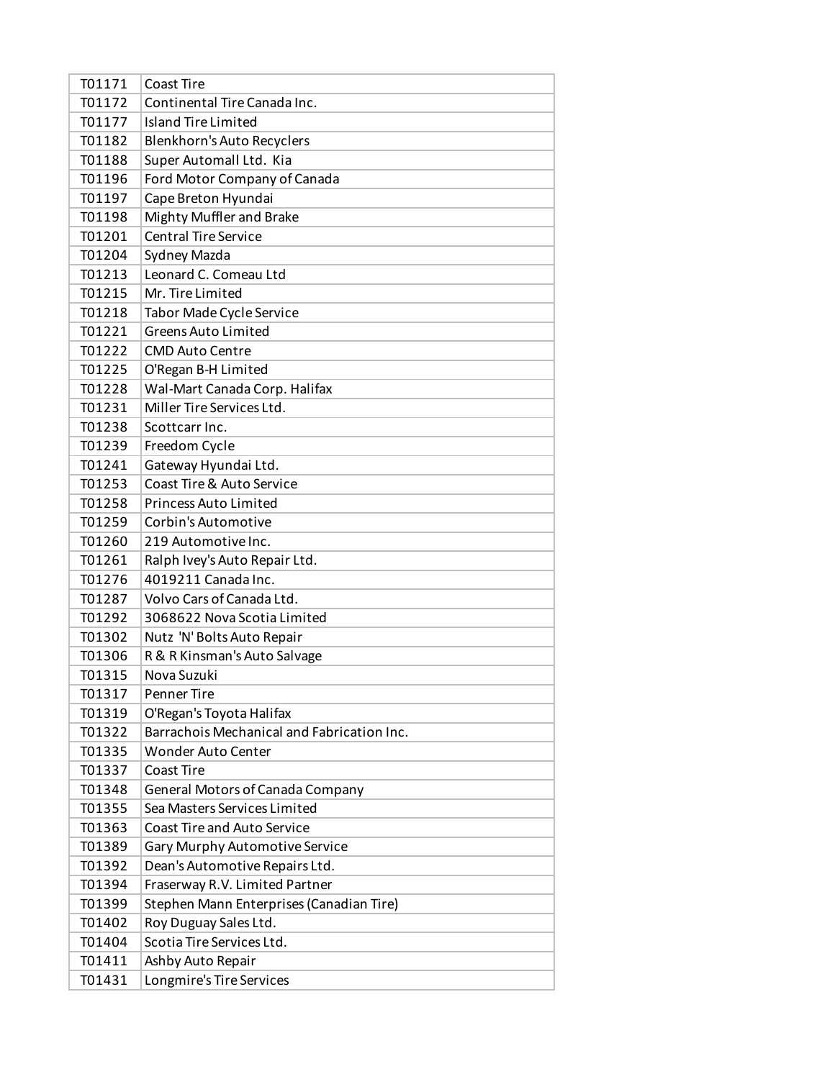| T01171 | Coast Tire                                 |
|--------|--------------------------------------------|
| T01172 | Continental Tire Canada Inc.               |
| T01177 | <b>Island Tire Limited</b>                 |
| T01182 | Blenkhorn's Auto Recyclers                 |
| T01188 | Super Automall Ltd. Kia                    |
| T01196 | Ford Motor Company of Canada               |
| T01197 | Cape Breton Hyundai                        |
| T01198 | Mighty Muffler and Brake                   |
| T01201 | <b>Central Tire Service</b>                |
| T01204 | Sydney Mazda                               |
| T01213 | Leonard C. Comeau Ltd                      |
| T01215 | Mr. Tire Limited                           |
| T01218 | Tabor Made Cycle Service                   |
| T01221 | <b>Greens Auto Limited</b>                 |
| T01222 | <b>CMD Auto Centre</b>                     |
| T01225 | O'Regan B-H Limited                        |
| T01228 | Wal-Mart Canada Corp. Halifax              |
| T01231 | Miller Tire Services Ltd.                  |
| T01238 | Scottcarr Inc.                             |
| T01239 | Freedom Cycle                              |
| T01241 | Gateway Hyundai Ltd.                       |
| T01253 | Coast Tire & Auto Service                  |
| T01258 | <b>Princess Auto Limited</b>               |
| T01259 | Corbin's Automotive                        |
| T01260 | 219 Automotive Inc.                        |
| T01261 | Ralph Ivey's Auto Repair Ltd.              |
| T01276 | 4019211 Canada Inc.                        |
| T01287 | Volvo Cars of Canada Ltd.                  |
| T01292 | 3068622 Nova Scotia Limited                |
| T01302 | Nutz 'N' Bolts Auto Repair                 |
| T01306 | R & R Kinsman's Auto Salvage               |
| T01315 | Nova Suzuki                                |
| T01317 | Penner Tire                                |
| T01319 | O'Regan's Toyota Halifax                   |
| T01322 | Barrachois Mechanical and Fabrication Inc. |
| T01335 | <b>Wonder Auto Center</b>                  |
| T01337 | Coast Tire                                 |
| T01348 | General Motors of Canada Company           |
| T01355 | Sea Masters Services Limited               |
| T01363 | <b>Coast Tire and Auto Service</b>         |
| T01389 | Gary Murphy Automotive Service             |
| T01392 | Dean's Automotive Repairs Ltd.             |
| T01394 | Fraserway R.V. Limited Partner             |
| T01399 | Stephen Mann Enterprises (Canadian Tire)   |
| T01402 | Roy Duguay Sales Ltd.                      |
| T01404 | Scotia Tire Services Ltd.                  |
| T01411 | Ashby Auto Repair                          |
| T01431 | Longmire's Tire Services                   |
|        |                                            |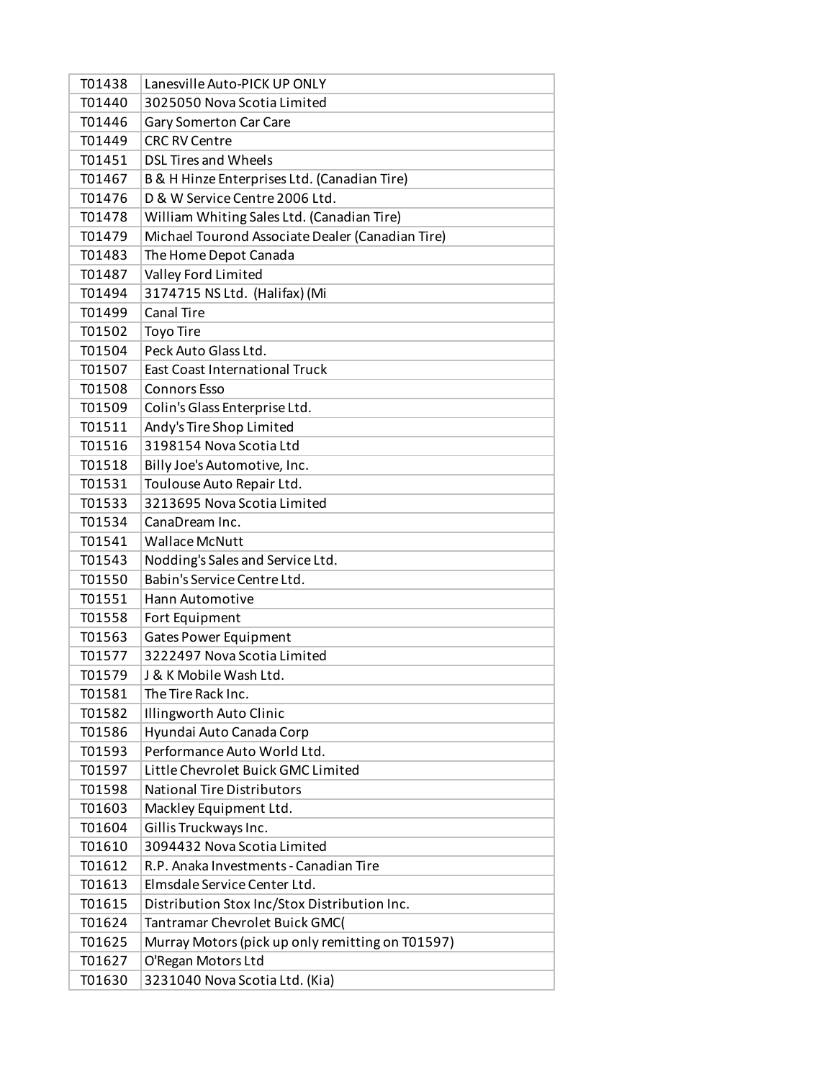| T01438 | Lanesville Auto-PICK UP ONLY                     |
|--------|--------------------------------------------------|
| T01440 | 3025050 Nova Scotia Limited                      |
| T01446 | Gary Somerton Car Care                           |
| T01449 | <b>CRC RV Centre</b>                             |
| T01451 | <b>DSL Tires and Wheels</b>                      |
| T01467 | B & H Hinze Enterprises Ltd. (Canadian Tire)     |
| T01476 | D & W Service Centre 2006 Ltd.                   |
| T01478 | William Whiting Sales Ltd. (Canadian Tire)       |
| T01479 | Michael Tourond Associate Dealer (Canadian Tire) |
| T01483 | The Home Depot Canada                            |
| T01487 | Valley Ford Limited                              |
| T01494 | 3174715 NS Ltd. (Halifax) (Mi                    |
| T01499 | <b>Canal Tire</b>                                |
| T01502 | <b>Toyo Tire</b>                                 |
| T01504 | Peck Auto Glass Ltd.                             |
| T01507 | <b>East Coast International Truck</b>            |
| T01508 | <b>Connors Esso</b>                              |
| T01509 | Colin's Glass Enterprise Ltd.                    |
| T01511 | Andy's Tire Shop Limited                         |
| T01516 | 3198154 Nova Scotia Ltd                          |
| T01518 | Billy Joe's Automotive, Inc.                     |
| T01531 | Toulouse Auto Repair Ltd.                        |
| T01533 | 3213695 Nova Scotia Limited                      |
| T01534 | CanaDream Inc.                                   |
| T01541 | <b>Wallace McNutt</b>                            |
| T01543 | Nodding's Sales and Service Ltd.                 |
| T01550 | Babin's Service Centre Ltd.                      |
| T01551 | Hann Automotive                                  |
| T01558 | Fort Equipment                                   |
| T01563 | <b>Gates Power Equipment</b>                     |
| T01577 | 3222497 Nova Scotia Limited                      |
| T01579 | J & K Mobile Wash Ltd.                           |
| T01581 | The Tire Rack Inc.                               |
| T01582 | Illingworth Auto Clinic                          |
| T01586 | Hyundai Auto Canada Corp                         |
| T01593 | Performance Auto World Ltd.                      |
| T01597 | Little Chevrolet Buick GMC Limited               |
| T01598 | <b>National Tire Distributors</b>                |
| T01603 | Mackley Equipment Ltd.                           |
| T01604 | Gillis Truckways Inc.                            |
| T01610 | 3094432 Nova Scotia Limited                      |
| T01612 | R.P. Anaka Investments - Canadian Tire           |
| T01613 | Elmsdale Service Center Ltd.                     |
| T01615 | Distribution Stox Inc/Stox Distribution Inc.     |
| T01624 | Tantramar Chevrolet Buick GMC(                   |
| T01625 | Murray Motors (pick up only remitting on T01597) |
| T01627 | O'Regan Motors Ltd                               |
| T01630 | 3231040 Nova Scotia Ltd. (Kia)                   |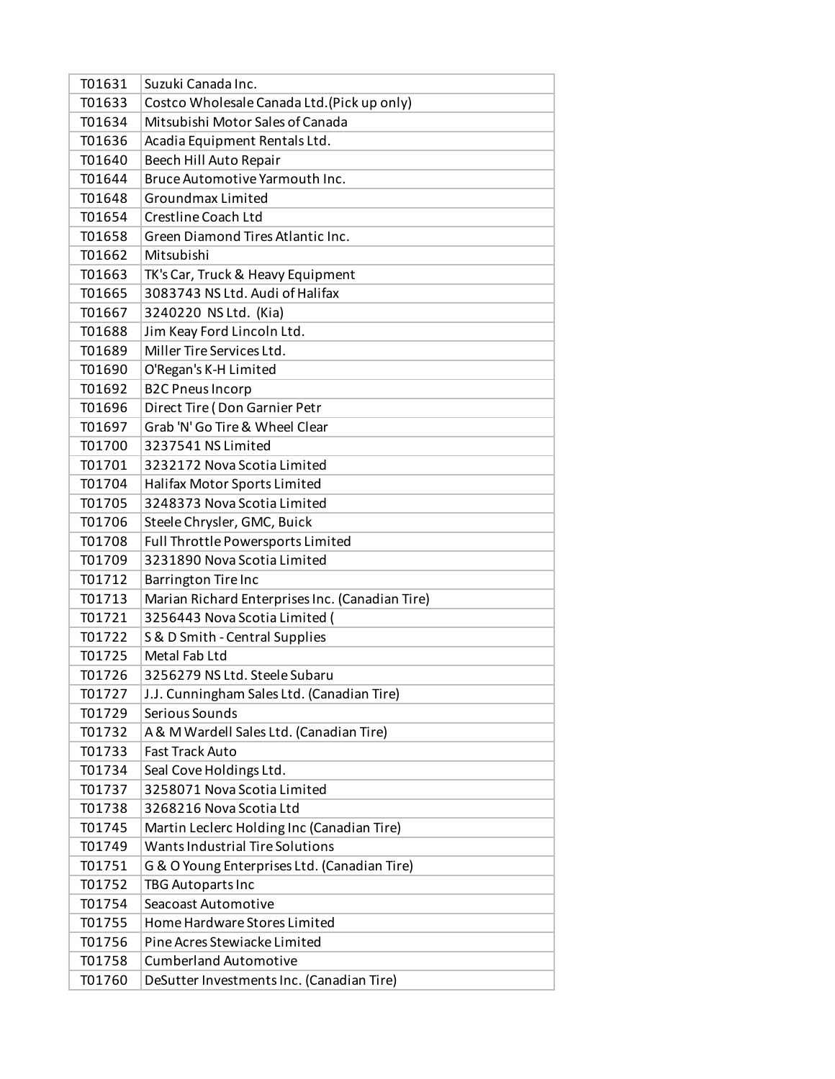| T01631 | Suzuki Canada Inc.                              |
|--------|-------------------------------------------------|
| T01633 | Costco Wholesale Canada Ltd. (Pick up only)     |
| T01634 | Mitsubishi Motor Sales of Canada                |
| T01636 | Acadia Equipment Rentals Ltd.                   |
| T01640 | Beech Hill Auto Repair                          |
| T01644 | Bruce Automotive Yarmouth Inc.                  |
| T01648 | Groundmax Limited                               |
| T01654 | Crestline Coach Ltd                             |
| T01658 | Green Diamond Tires Atlantic Inc.               |
| T01662 | Mitsubishi                                      |
| T01663 | TK's Car, Truck & Heavy Equipment               |
| T01665 | 3083743 NS Ltd. Audi of Halifax                 |
| T01667 | 3240220 NS Ltd. (Kia)                           |
| T01688 | Jim Keay Ford Lincoln Ltd.                      |
| T01689 | Miller Tire Services Ltd.                       |
| T01690 | O'Regan's K-H Limited                           |
| T01692 | <b>B2C Pneus Incorp</b>                         |
| T01696 | Direct Tire (Don Garnier Petr                   |
| T01697 | Grab 'N' Go Tire & Wheel Clear                  |
| T01700 | 3237541 NS Limited                              |
| T01701 | 3232172 Nova Scotia Limited                     |
| T01704 | Halifax Motor Sports Limited                    |
| T01705 | 3248373 Nova Scotia Limited                     |
| T01706 | Steele Chrysler, GMC, Buick                     |
| T01708 | Full Throttle Powersports Limited               |
| T01709 | 3231890 Nova Scotia Limited                     |
| T01712 | <b>Barrington Tire Inc</b>                      |
| T01713 | Marian Richard Enterprises Inc. (Canadian Tire) |
| T01721 | 3256443 Nova Scotia Limited (                   |
| T01722 | S & D Smith - Central Supplies                  |
| T01725 | Metal Fab Ltd                                   |
| T01726 | 3256279 NS Ltd. Steele Subaru                   |
| T01727 | J.J. Cunningham Sales Ltd. (Canadian Tire)      |
| T01729 | Serious Sounds                                  |
| T01732 | A & M Wardell Sales Ltd. (Canadian Tire)        |
| T01733 | <b>Fast Track Auto</b>                          |
| T01734 | Seal Cove Holdings Ltd.                         |
| T01737 | 3258071 Nova Scotia Limited                     |
| T01738 | 3268216 Nova Scotia Ltd                         |
| T01745 | Martin Leclerc Holding Inc (Canadian Tire)      |
| T01749 | Wants Industrial Tire Solutions                 |
| T01751 | G & O Young Enterprises Ltd. (Canadian Tire)    |
| T01752 | TBG Autoparts Inc                               |
| T01754 | Seacoast Automotive                             |
| T01755 | Home Hardware Stores Limited                    |
| T01756 | Pine Acres Stewiacke Limited                    |
| T01758 | <b>Cumberland Automotive</b>                    |
| T01760 | DeSutter Investments Inc. (Canadian Tire)       |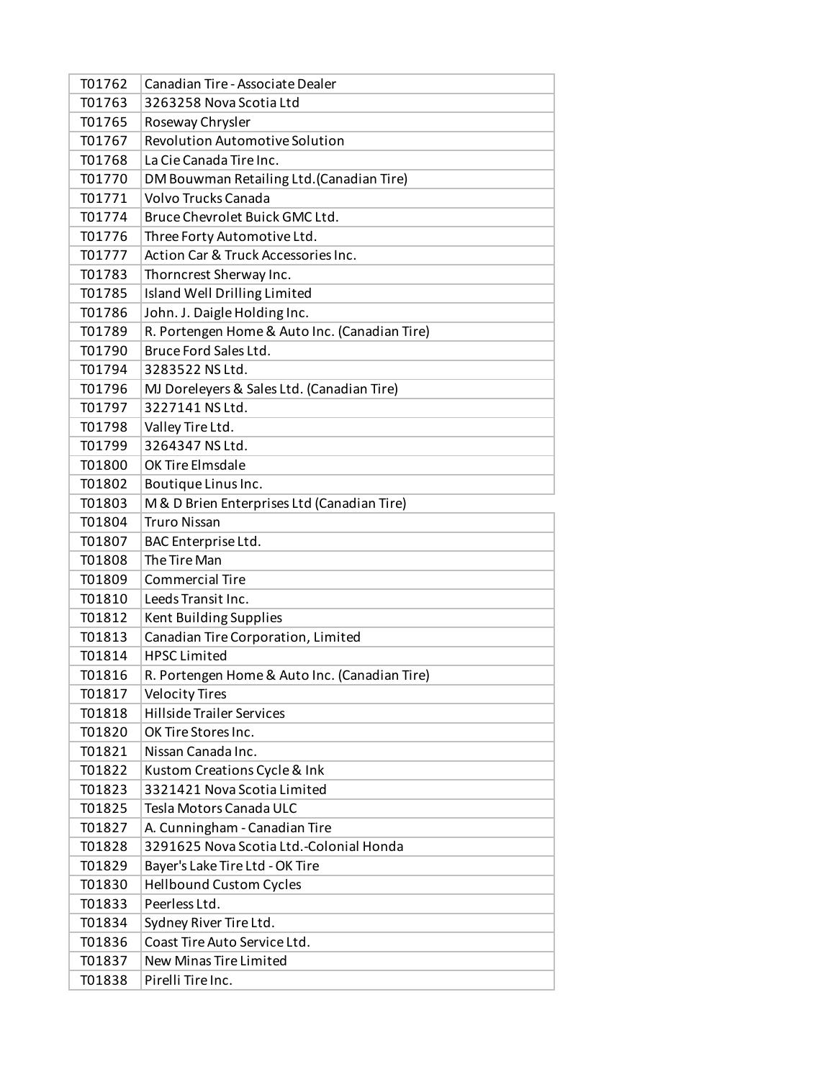| T01762 | Canadian Tire - Associate Dealer              |
|--------|-----------------------------------------------|
| T01763 | 3263258 Nova Scotia Ltd                       |
| T01765 | Roseway Chrysler                              |
| T01767 | <b>Revolution Automotive Solution</b>         |
| T01768 | La Cie Canada Tire Inc.                       |
| T01770 | DM Bouwman Retailing Ltd. (Canadian Tire)     |
| T01771 | <b>Volvo Trucks Canada</b>                    |
| T01774 | Bruce Chevrolet Buick GMC Ltd.                |
| T01776 | Three Forty Automotive Ltd.                   |
| T01777 | Action Car & Truck Accessories Inc.           |
| T01783 | Thorncrest Sherway Inc.                       |
| T01785 | Island Well Drilling Limited                  |
| T01786 | John. J. Daigle Holding Inc.                  |
| T01789 | R. Portengen Home & Auto Inc. (Canadian Tire) |
| T01790 | Bruce Ford Sales Ltd.                         |
| T01794 | 3283522 NS Ltd.                               |
| T01796 | MJ Doreleyers & Sales Ltd. (Canadian Tire)    |
| T01797 | 3227141 NS Ltd.                               |
| T01798 | Valley Tire Ltd.                              |
| T01799 | 3264347 NS Ltd.                               |
| T01800 | OK Tire Elmsdale                              |
| T01802 | Boutique Linus Inc.                           |
| T01803 | M & D Brien Enterprises Ltd (Canadian Tire)   |
| T01804 | <b>Truro Nissan</b>                           |
| T01807 | BAC Enterprise Ltd.                           |
| T01808 | The Tire Man                                  |
| T01809 | <b>Commercial Tire</b>                        |
| T01810 | Leeds Transit Inc.                            |
| T01812 | Kent Building Supplies                        |
| T01813 | Canadian Tire Corporation, Limited            |
| T01814 | <b>HPSC Limited</b>                           |
| T01816 | R. Portengen Home & Auto Inc. (Canadian Tire) |
| T01817 | <b>Velocity Tires</b>                         |
| T01818 | <b>Hillside Trailer Services</b>              |
| T01820 | OK Tire Stores Inc.                           |
| T01821 | Nissan Canada Inc.                            |
| T01822 | Kustom Creations Cycle & Ink                  |
| T01823 | 3321421 Nova Scotia Limited                   |
| T01825 | Tesla Motors Canada ULC                       |
| T01827 | A. Cunningham - Canadian Tire                 |
| T01828 | 3291625 Nova Scotia Ltd.-Colonial Honda       |
| T01829 | Bayer's Lake Tire Ltd - OK Tire               |
| T01830 | <b>Hellbound Custom Cycles</b>                |
| T01833 | Peerless Ltd.                                 |
| T01834 | Sydney River Tire Ltd.                        |
| T01836 | Coast Tire Auto Service Ltd.                  |
| T01837 | New Minas Tire Limited                        |
| T01838 | Pirelli Tire Inc.                             |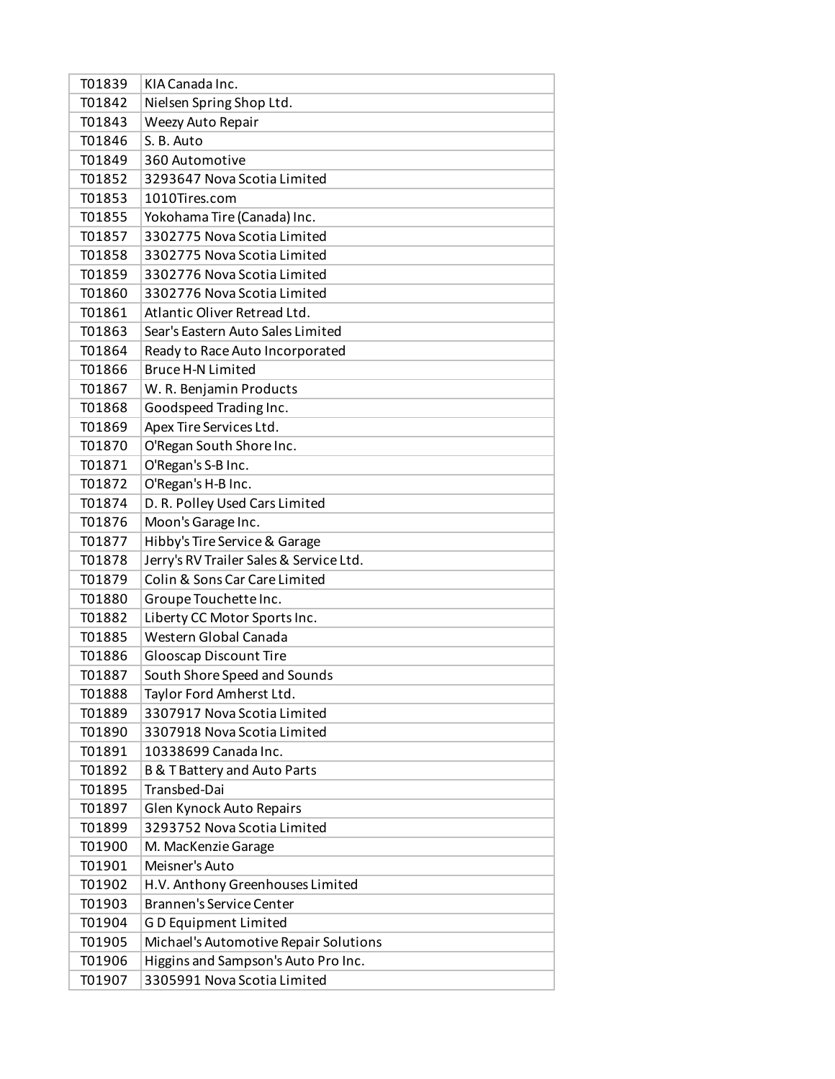| T01839 | KIA Canada Inc.                         |
|--------|-----------------------------------------|
| T01842 | Nielsen Spring Shop Ltd.                |
| T01843 | Weezy Auto Repair                       |
| T01846 | S. B. Auto                              |
| T01849 | 360 Automotive                          |
| T01852 | 3293647 Nova Scotia Limited             |
| T01853 | 1010Tires.com                           |
| T01855 | Yokohama Tire (Canada) Inc.             |
| T01857 | 3302775 Nova Scotia Limited             |
| T01858 | 3302775 Nova Scotia Limited             |
| T01859 | 3302776 Nova Scotia Limited             |
| T01860 | 3302776 Nova Scotia Limited             |
| T01861 | Atlantic Oliver Retread Ltd.            |
| T01863 | Sear's Eastern Auto Sales Limited       |
| T01864 | Ready to Race Auto Incorporated         |
| T01866 | <b>Bruce H-N Limited</b>                |
| T01867 | W. R. Benjamin Products                 |
| T01868 | Goodspeed Trading Inc.                  |
| T01869 | Apex Tire Services Ltd.                 |
| T01870 | O'Regan South Shore Inc.                |
| T01871 | O'Regan's S-B Inc.                      |
| T01872 | O'Regan's H-B Inc.                      |
| T01874 | D. R. Polley Used Cars Limited          |
| T01876 | Moon's Garage Inc.                      |
| T01877 | Hibby's Tire Service & Garage           |
| T01878 | Jerry's RV Trailer Sales & Service Ltd. |
| T01879 | Colin & Sons Car Care Limited           |
| T01880 | Groupe Touchette Inc.                   |
| T01882 | Liberty CC Motor Sports Inc.            |
| T01885 | Western Global Canada                   |
| T01886 | <b>Glooscap Discount Tire</b>           |
| T01887 | South Shore Speed and Sounds            |
| T01888 | Taylor Ford Amherst Ltd.                |
| T01889 | 3307917 Nova Scotia Limited             |
| T01890 | 3307918 Nova Scotia Limited             |
| T01891 | 10338699 Canada Inc.                    |
| T01892 | <b>B &amp; T Battery and Auto Parts</b> |
| T01895 | Transbed-Dai                            |
| T01897 | Glen Kynock Auto Repairs                |
| T01899 | 3293752 Nova Scotia Limited             |
| T01900 | M. MacKenzie Garage                     |
| T01901 | Meisner's Auto                          |
| T01902 | H.V. Anthony Greenhouses Limited        |
| T01903 | <b>Brannen's Service Center</b>         |
| T01904 | GD Equipment Limited                    |
| T01905 | Michael's Automotive Repair Solutions   |
| T01906 | Higgins and Sampson's Auto Pro Inc.     |
| T01907 | 3305991 Nova Scotia Limited             |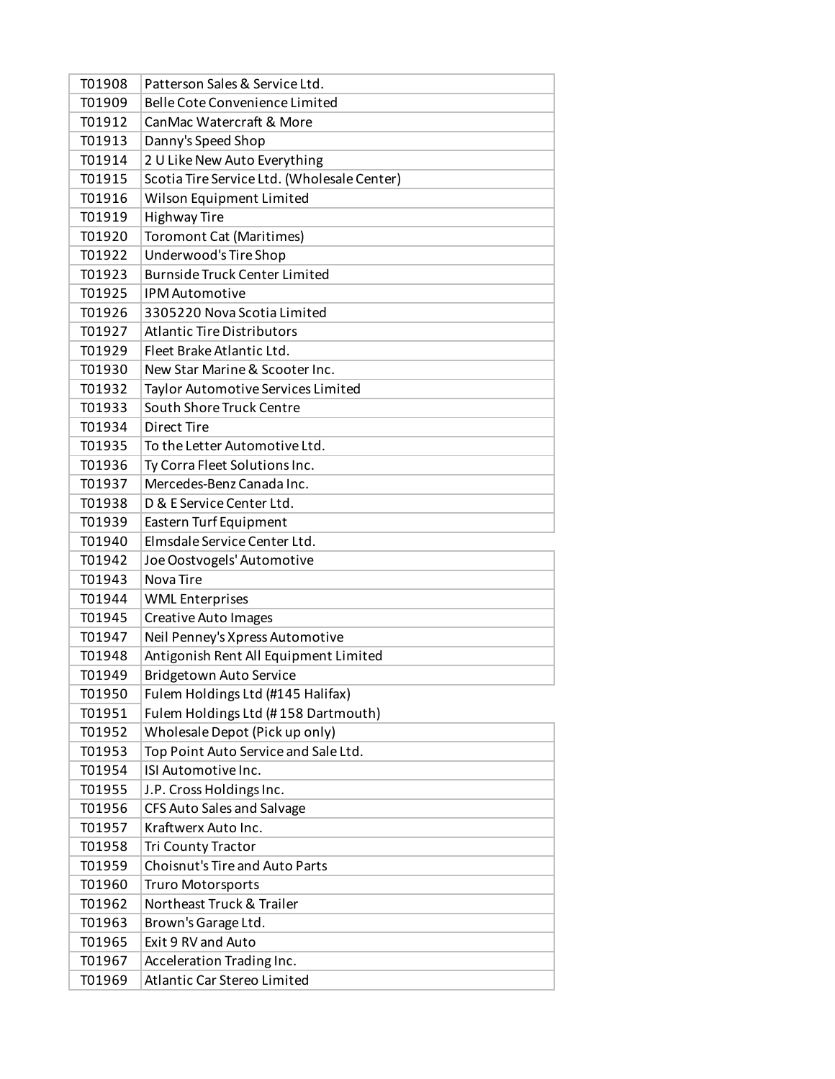| T01908 | Patterson Sales & Service Ltd.              |
|--------|---------------------------------------------|
| T01909 | Belle Cote Convenience Limited              |
| T01912 | CanMac Watercraft & More                    |
| T01913 | Danny's Speed Shop                          |
| T01914 | 2 U Like New Auto Everything                |
| T01915 | Scotia Tire Service Ltd. (Wholesale Center) |
| T01916 | Wilson Equipment Limited                    |
| T01919 | <b>Highway Tire</b>                         |
| T01920 | <b>Toromont Cat (Maritimes)</b>             |
| T01922 | Underwood's Tire Shop                       |
| T01923 | <b>Burnside Truck Center Limited</b>        |
| T01925 | <b>IPM Automotive</b>                       |
| T01926 | 3305220 Nova Scotia Limited                 |
| T01927 | <b>Atlantic Tire Distributors</b>           |
| T01929 | Fleet Brake Atlantic Ltd.                   |
| T01930 | New Star Marine & Scooter Inc.              |
| T01932 | <b>Taylor Automotive Services Limited</b>   |
| T01933 | South Shore Truck Centre                    |
| T01934 | <b>Direct Tire</b>                          |
| T01935 | To the Letter Automotive Ltd.               |
| T01936 | Ty Corra Fleet Solutions Inc.               |
| T01937 | Mercedes-Benz Canada Inc.                   |
| T01938 | D & E Service Center Ltd.                   |
| T01939 | Eastern Turf Equipment                      |
| T01940 | Elmsdale Service Center Ltd.                |
| T01942 | Joe Oostvogels' Automotive                  |
| T01943 | Nova Tire                                   |
| T01944 | <b>WML Enterprises</b>                      |
| T01945 | <b>Creative Auto Images</b>                 |
| T01947 | Neil Penney's Xpress Automotive             |
| T01948 | Antigonish Rent All Equipment Limited       |
| T01949 | Bridgetown Auto Service                     |
| T01950 | Fulem Holdings Ltd (#145 Halifax)           |
| T01951 | Fulem Holdings Ltd (#158 Dartmouth)         |
| T01952 | Wholesale Depot (Pick up only)              |
| T01953 | Top Point Auto Service and Sale Ltd.        |
| T01954 | ISI Automotive Inc.                         |
| T01955 | J.P. Cross Holdings Inc.                    |
| T01956 | CFS Auto Sales and Salvage                  |
| T01957 | Kraftwerx Auto Inc.                         |
| T01958 | Tri County Tractor                          |
| T01959 | <b>Choisnut's Tire and Auto Parts</b>       |
| T01960 | <b>Truro Motorsports</b>                    |
| T01962 | Northeast Truck & Trailer                   |
| T01963 | Brown's Garage Ltd.                         |
| T01965 | Exit 9 RV and Auto                          |
| T01967 | Acceleration Trading Inc.                   |
| T01969 | <b>Atlantic Car Stereo Limited</b>          |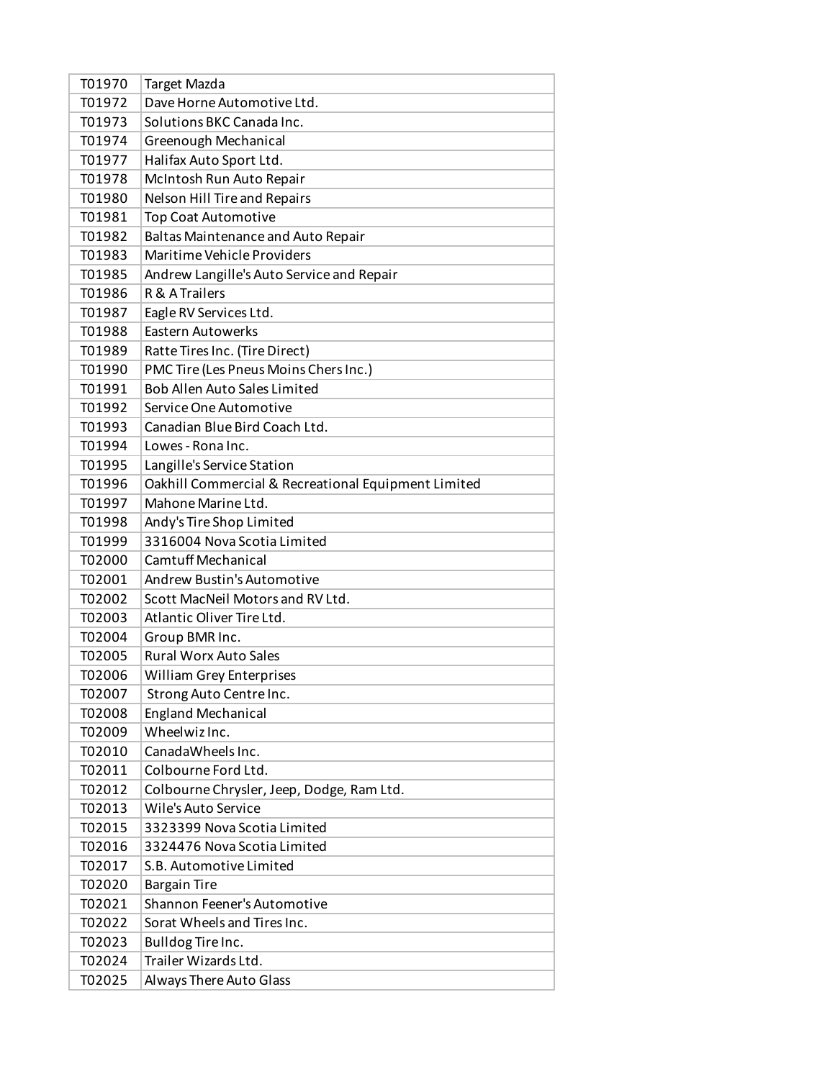| T01970 | <b>Target Mazda</b>                                 |
|--------|-----------------------------------------------------|
| T01972 | Dave Horne Automotive Ltd.                          |
| T01973 | Solutions BKC Canada Inc.                           |
| T01974 | Greenough Mechanical                                |
| T01977 | Halifax Auto Sport Ltd.                             |
| T01978 | McIntosh Run Auto Repair                            |
| T01980 | Nelson Hill Tire and Repairs                        |
| T01981 | <b>Top Coat Automotive</b>                          |
| T01982 | Baltas Maintenance and Auto Repair                  |
| T01983 | Maritime Vehicle Providers                          |
| T01985 | Andrew Langille's Auto Service and Repair           |
| T01986 | R & A Trailers                                      |
| T01987 | Eagle RV Services Ltd.                              |
| T01988 | Eastern Autowerks                                   |
| T01989 | Ratte Tires Inc. (Tire Direct)                      |
| T01990 | PMC Tire (Les Pneus Moins Chers Inc.)               |
| T01991 | <b>Bob Allen Auto Sales Limited</b>                 |
| T01992 | Service One Automotive                              |
| T01993 | Canadian Blue Bird Coach Ltd.                       |
| T01994 | Lowes - Rona Inc.                                   |
| T01995 | Langille's Service Station                          |
| T01996 | Oakhill Commercial & Recreational Equipment Limited |
| T01997 | Mahone Marine Ltd.                                  |
| T01998 | Andy's Tire Shop Limited                            |
| T01999 | 3316004 Nova Scotia Limited                         |
| T02000 | <b>Camtuff Mechanical</b>                           |
| T02001 | Andrew Bustin's Automotive                          |
| T02002 | Scott MacNeil Motors and RV Ltd.                    |
| T02003 | Atlantic Oliver Tire Ltd.                           |
| T02004 | Group BMR Inc.                                      |
| T02005 | <b>Rural Worx Auto Sales</b>                        |
| T02006 | <b>William Grey Enterprises</b>                     |
| T02007 | Strong Auto Centre Inc.                             |
| T02008 | <b>England Mechanical</b>                           |
| T02009 | Wheelwiz Inc.                                       |
| T02010 | CanadaWheels Inc.                                   |
| T02011 | Colbourne Ford Ltd.                                 |
| T02012 | Colbourne Chrysler, Jeep, Dodge, Ram Ltd.           |
| T02013 | Wile's Auto Service                                 |
| T02015 | 3323399 Nova Scotia Limited                         |
| T02016 | 3324476 Nova Scotia Limited                         |
| T02017 | S.B. Automotive Limited                             |
| T02020 | <b>Bargain Tire</b>                                 |
| T02021 | Shannon Feener's Automotive                         |
| T02022 | Sorat Wheels and Tires Inc.                         |
| T02023 | Bulldog Tire Inc.                                   |
| T02024 | Trailer Wizards Ltd.                                |
| T02025 | Always There Auto Glass                             |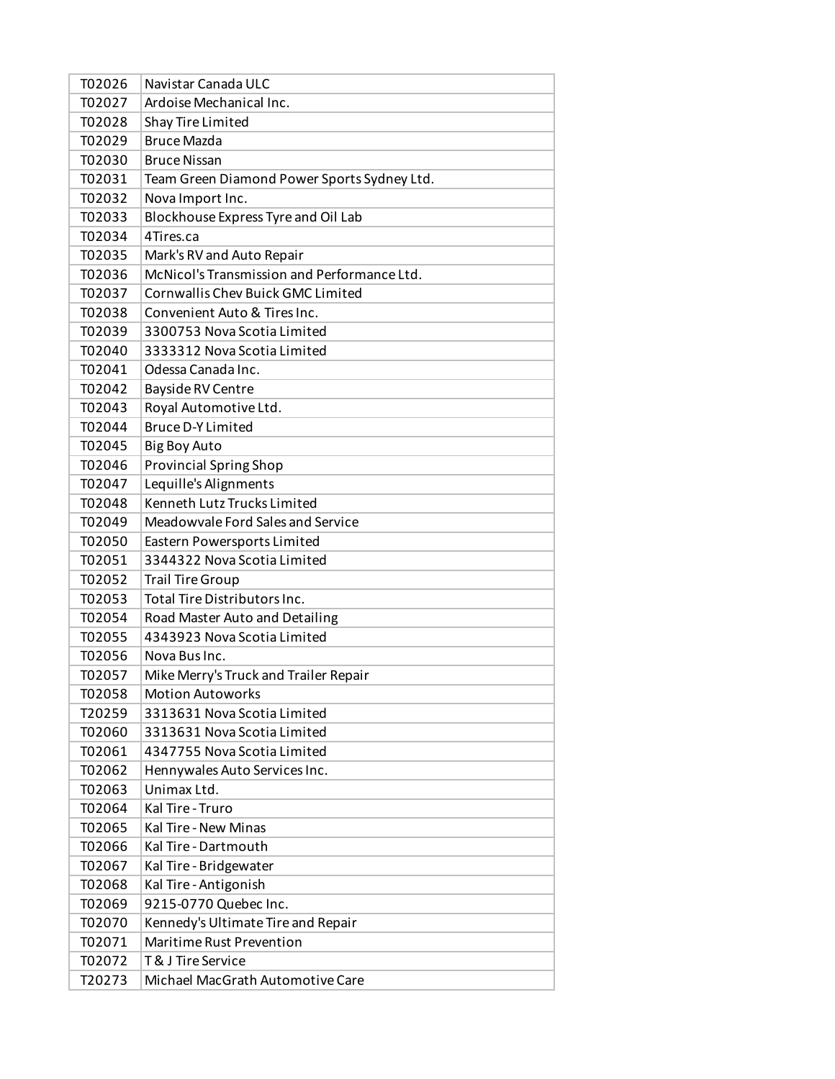| T02026 | Navistar Canada ULC                         |
|--------|---------------------------------------------|
| T02027 | Ardoise Mechanical Inc.                     |
| T02028 | Shay Tire Limited                           |
| T02029 | <b>Bruce Mazda</b>                          |
| T02030 | <b>Bruce Nissan</b>                         |
| T02031 | Team Green Diamond Power Sports Sydney Ltd. |
| T02032 | Nova Import Inc.                            |
| T02033 | Blockhouse Express Tyre and Oil Lab         |
| T02034 | 4Tires.ca                                   |
| T02035 | Mark's RV and Auto Repair                   |
| T02036 | McNicol's Transmission and Performance Ltd. |
| T02037 | Cornwallis Chev Buick GMC Limited           |
| T02038 | Convenient Auto & Tires Inc.                |
| T02039 | 3300753 Nova Scotia Limited                 |
| T02040 | 3333312 Nova Scotia Limited                 |
| T02041 | Odessa Canada Inc.                          |
| T02042 | Bayside RV Centre                           |
| T02043 | Royal Automotive Ltd.                       |
| T02044 | <b>Bruce D-Y Limited</b>                    |
| T02045 | Big Boy Auto                                |
| T02046 | <b>Provincial Spring Shop</b>               |
| T02047 | Lequille's Alignments                       |
| T02048 | Kenneth Lutz Trucks Limited                 |
| T02049 | Meadowvale Ford Sales and Service           |
| T02050 | Eastern Powersports Limited                 |
| T02051 | 3344322 Nova Scotia Limited                 |
| T02052 | <b>Trail Tire Group</b>                     |
| T02053 | Total Tire Distributors Inc.                |
| T02054 | Road Master Auto and Detailing              |
| T02055 | 4343923 Nova Scotia Limited                 |
| T02056 | Nova Bus Inc.                               |
| T02057 | Mike Merry's Truck and Trailer Repair       |
| T02058 | <b>Motion Autoworks</b>                     |
| T20259 | 3313631 Nova Scotia Limited                 |
| T02060 | 3313631 Nova Scotia Limited                 |
| T02061 | 4347755 Nova Scotia Limited                 |
| T02062 | Hennywales Auto Services Inc.               |
| T02063 | Unimax Ltd.                                 |
| T02064 | Kal Tire - Truro                            |
| T02065 | Kal Tire - New Minas                        |
| T02066 | Kal Tire - Dartmouth                        |
| T02067 | Kal Tire - Bridgewater                      |
| T02068 | Kal Tire - Antigonish                       |
| T02069 | 9215-0770 Quebec Inc.                       |
| T02070 | Kennedy's Ultimate Tire and Repair          |
| T02071 | Maritime Rust Prevention                    |
| T02072 | <b>T&amp; J Tire Service</b>                |
| T20273 | Michael MacGrath Automotive Care            |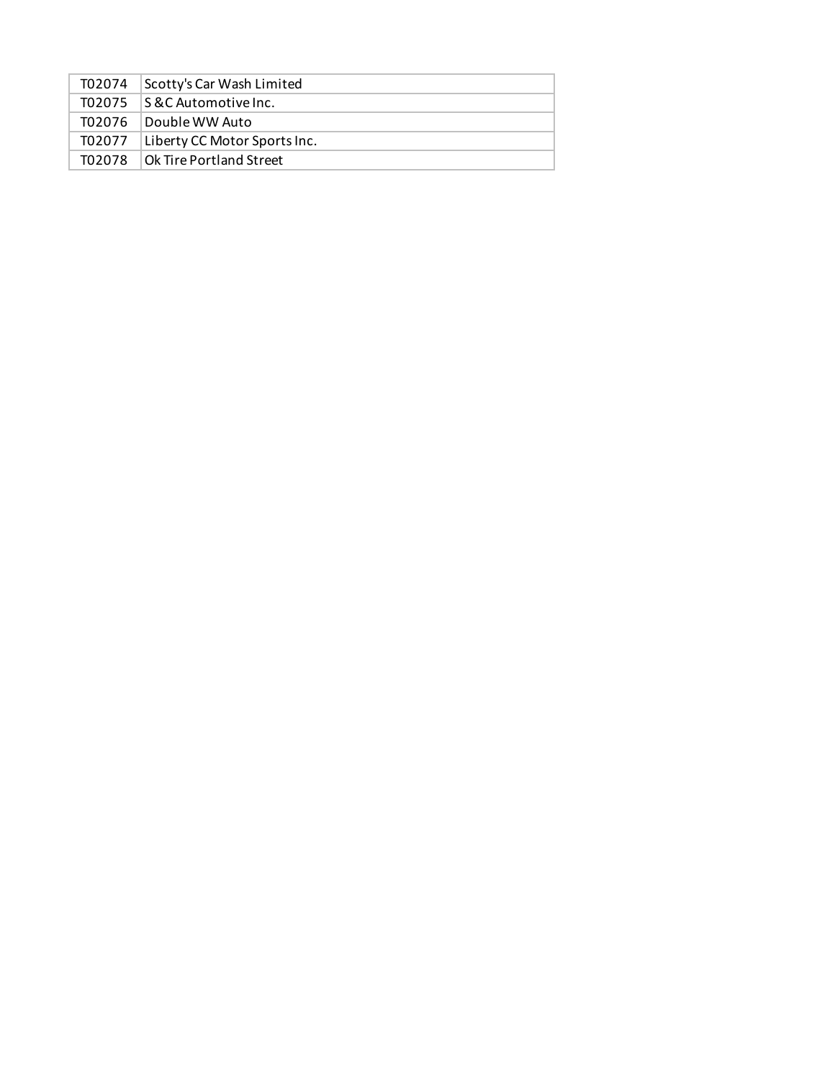| T02074 | Scotty's Car Wash Limited    |
|--------|------------------------------|
| T02075 | IS &C Automotive Inc.        |
| T02076 | Double WW Auto               |
| T02077 | Liberty CC Motor Sports Inc. |
| T02078 | Ok Tire Portland Street      |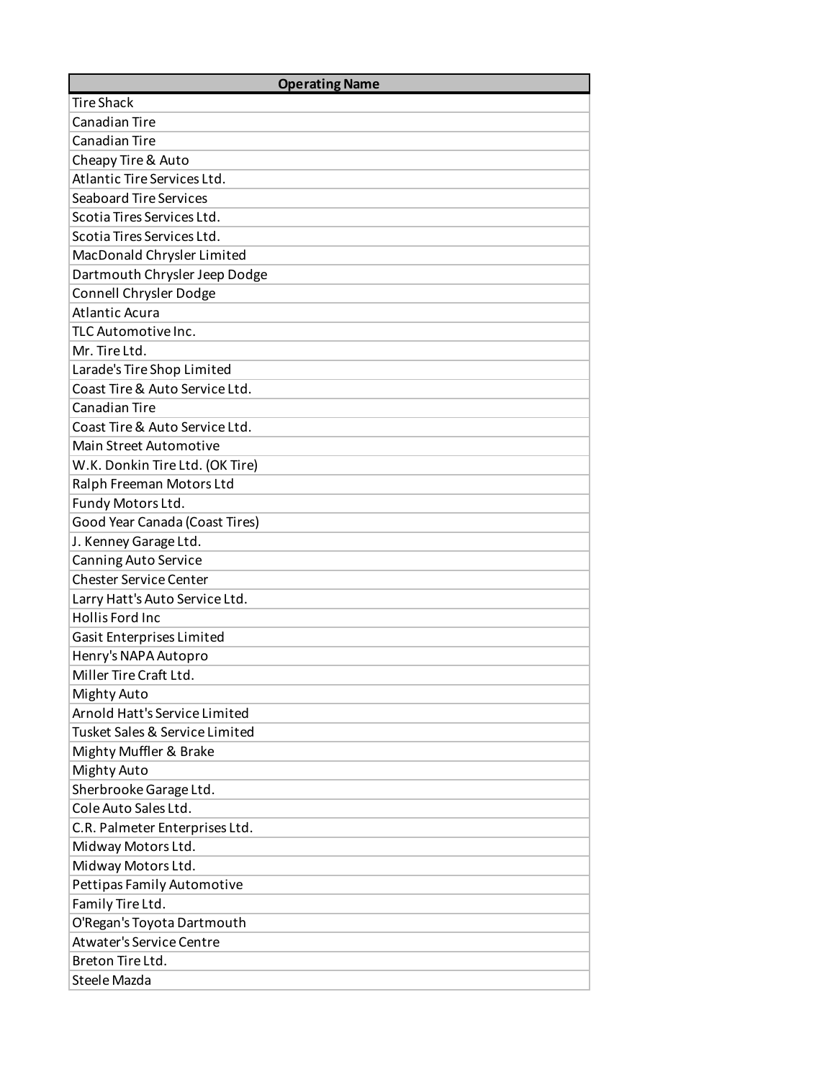| <b>Operating Name</b>           |
|---------------------------------|
| <b>Tire Shack</b>               |
| Canadian Tire                   |
| <b>Canadian Tire</b>            |
| Cheapy Tire & Auto              |
| Atlantic Tire Services Ltd.     |
| <b>Seaboard Tire Services</b>   |
| Scotia Tires Services Ltd.      |
| Scotia Tires Services Ltd.      |
| MacDonald Chrysler Limited      |
| Dartmouth Chrysler Jeep Dodge   |
| Connell Chrysler Dodge          |
| <b>Atlantic Acura</b>           |
| TLC Automotive Inc.             |
| Mr. Tire Ltd.                   |
| Larade's Tire Shop Limited      |
| Coast Tire & Auto Service Ltd.  |
| <b>Canadian Tire</b>            |
| Coast Tire & Auto Service Ltd.  |
| <b>Main Street Automotive</b>   |
| W.K. Donkin Tire Ltd. (OK Tire) |
| Ralph Freeman Motors Ltd        |
| Fundy Motors Ltd.               |
| Good Year Canada (Coast Tires)  |
| J. Kenney Garage Ltd.           |
| Canning Auto Service            |
| <b>Chester Service Center</b>   |
| Larry Hatt's Auto Service Ltd.  |
| Hollis Ford Inc                 |
| Gasit Enterprises Limited       |
| Henry's NAPA Autopro            |
| Miller Tire Craft Ltd.          |
| Mighty Auto                     |
| Arnold Hatt's Service Limited   |
| Tusket Sales & Service Limited  |
| Mighty Muffler & Brake          |
| Mighty Auto                     |
| Sherbrooke Garage Ltd.          |
| Cole Auto Sales Ltd.            |
| C.R. Palmeter Enterprises Ltd.  |
| Midway Motors Ltd.              |
| Midway Motors Ltd.              |
| Pettipas Family Automotive      |
| Family Tire Ltd.                |
| O'Regan's Toyota Dartmouth      |
| <b>Atwater's Service Centre</b> |
| Breton Tire Ltd.                |
| Steele Mazda                    |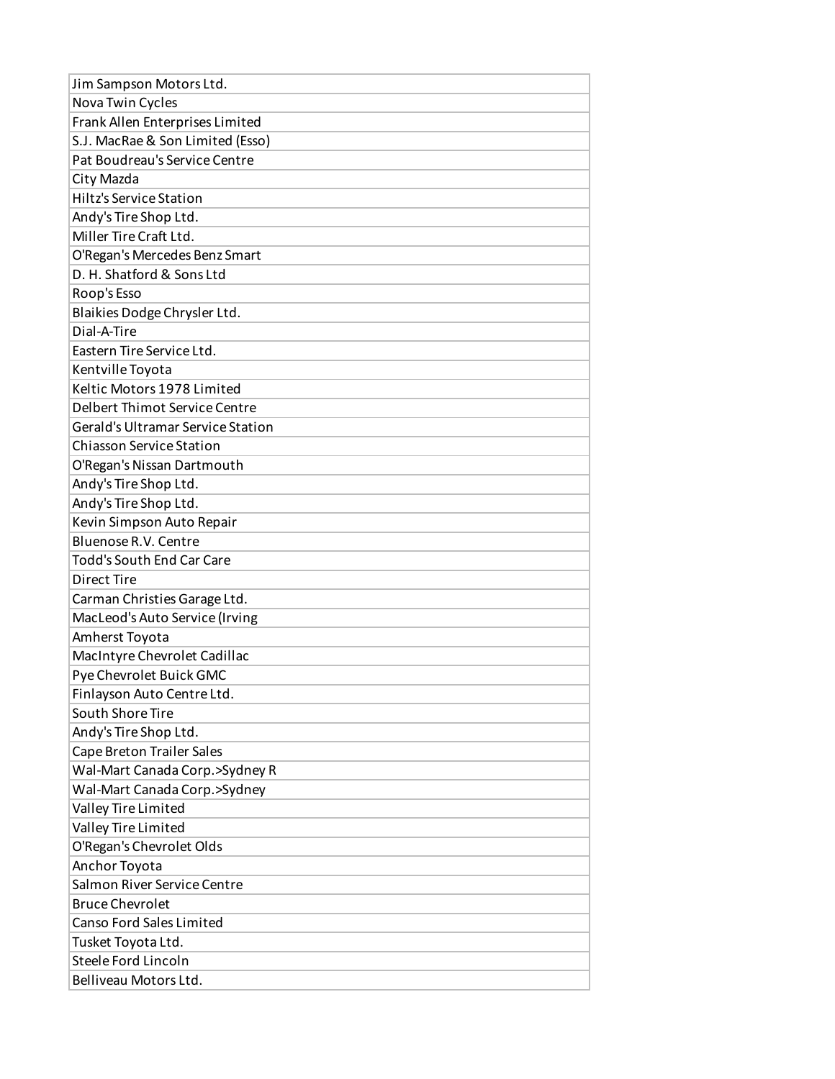| Jim Sampson Motors Ltd.                  |
|------------------------------------------|
| Nova Twin Cycles                         |
| Frank Allen Enterprises Limited          |
| S.J. MacRae & Son Limited (Esso)         |
| Pat Boudreau's Service Centre            |
| City Mazda                               |
| <b>Hiltz's Service Station</b>           |
| Andy's Tire Shop Ltd.                    |
| Miller Tire Craft Ltd.                   |
| O'Regan's Mercedes Benz Smart            |
| D. H. Shatford & Sons Ltd                |
| Roop's Esso                              |
| Blaikies Dodge Chrysler Ltd.             |
| Dial-A-Tire                              |
| Eastern Tire Service Ltd.                |
| Kentville Toyota                         |
| Keltic Motors 1978 Limited               |
| Delbert Thimot Service Centre            |
| <b>Gerald's Ultramar Service Station</b> |
| <b>Chiasson Service Station</b>          |
| O'Regan's Nissan Dartmouth               |
| Andy's Tire Shop Ltd.                    |
| Andy's Tire Shop Ltd.                    |
| Kevin Simpson Auto Repair                |
| Bluenose R.V. Centre                     |
| <b>Todd's South End Car Care</b>         |
| Direct Tire                              |
| Carman Christies Garage Ltd.             |
| MacLeod's Auto Service (Irving           |
| Amherst Toyota                           |
| MacIntyre Chevrolet Cadillac             |
| Pye Chevrolet Buick GMC                  |
| Finlayson Auto Centre Ltd.               |
| South Shore Tire                         |
| Andy's Tire Shop Ltd.                    |
| Cape Breton Trailer Sales                |
| Wal-Mart Canada Corp.>Sydney R           |
| Wal-Mart Canada Corp.>Sydney             |
| Valley Tire Limited                      |
| Valley Tire Limited                      |
| O'Regan's Chevrolet Olds                 |
| Anchor Toyota                            |
| Salmon River Service Centre              |
| <b>Bruce Chevrolet</b>                   |
| Canso Ford Sales Limited                 |
| Tusket Toyota Ltd.                       |
| Steele Ford Lincoln                      |
| Belliveau Motors Ltd.                    |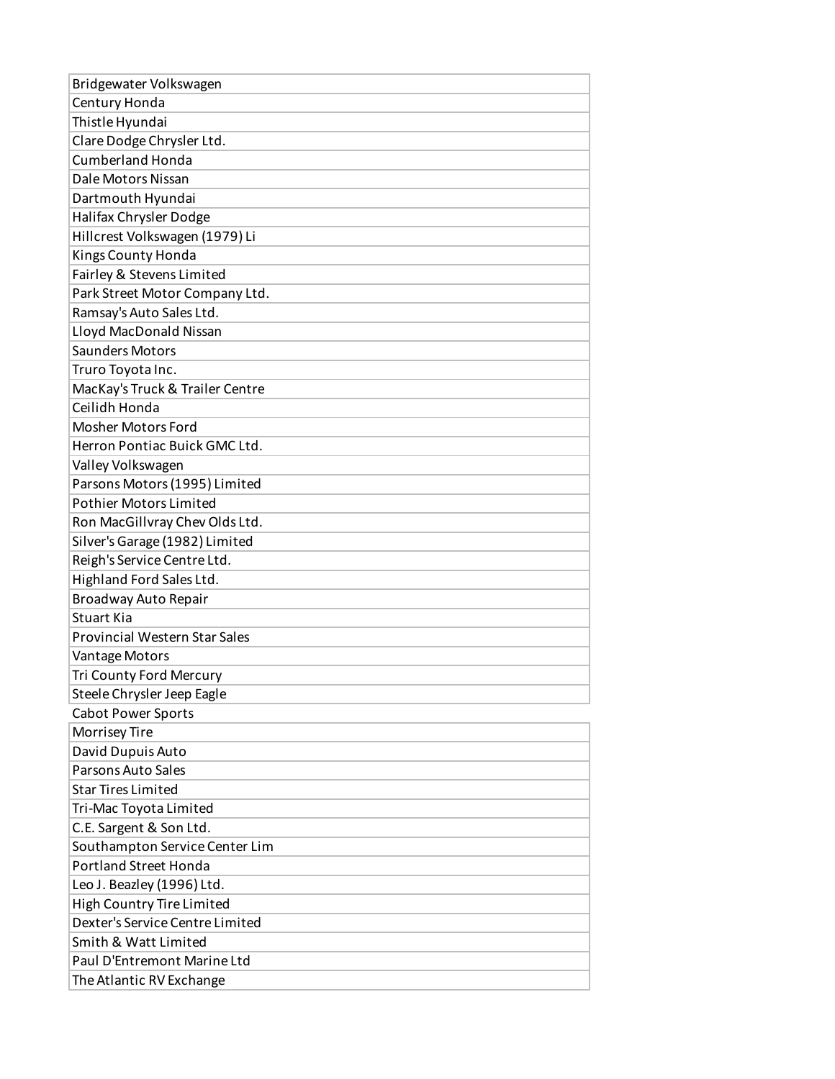| Bridgewater Volkswagen               |
|--------------------------------------|
| Century Honda                        |
| Thistle Hyundai                      |
| Clare Dodge Chrysler Ltd.            |
| <b>Cumberland Honda</b>              |
| Dale Motors Nissan                   |
| Dartmouth Hyundai                    |
| Halifax Chrysler Dodge               |
| Hillcrest Volkswagen (1979) Li       |
| Kings County Honda                   |
| Fairley & Stevens Limited            |
| Park Street Motor Company Ltd.       |
| Ramsay's Auto Sales Ltd.             |
| Lloyd MacDonald Nissan               |
| <b>Saunders Motors</b>               |
| Truro Toyota Inc.                    |
| MacKay's Truck & Trailer Centre      |
| Ceilidh Honda                        |
| <b>Mosher Motors Ford</b>            |
| Herron Pontiac Buick GMC Ltd.        |
| Valley Volkswagen                    |
| Parsons Motors (1995) Limited        |
| <b>Pothier Motors Limited</b>        |
| Ron MacGillvray Chev Olds Ltd.       |
| Silver's Garage (1982) Limited       |
| Reigh's Service Centre Ltd.          |
| Highland Ford Sales Ltd.             |
| Broadway Auto Repair                 |
| <b>Stuart Kia</b>                    |
| <b>Provincial Western Star Sales</b> |
| Vantage Motors                       |
| Tri County Ford Mercury              |
| Steele Chrysler Jeep Eagle           |
| <b>Cabot Power Sports</b>            |
| Morrisey Tire                        |
| David Dupuis Auto                    |
| Parsons Auto Sales                   |
| <b>Star Tires Limited</b>            |
| Tri-Mac Toyota Limited               |
| C.E. Sargent & Son Ltd.              |
| Southampton Service Center Lim       |
| <b>Portland Street Honda</b>         |
| Leo J. Beazley (1996) Ltd.           |
| High Country Tire Limited            |
| Dexter's Service Centre Limited      |
| Smith & Watt Limited                 |
| Paul D'Entremont Marine Ltd          |
| The Atlantic RV Exchange             |
|                                      |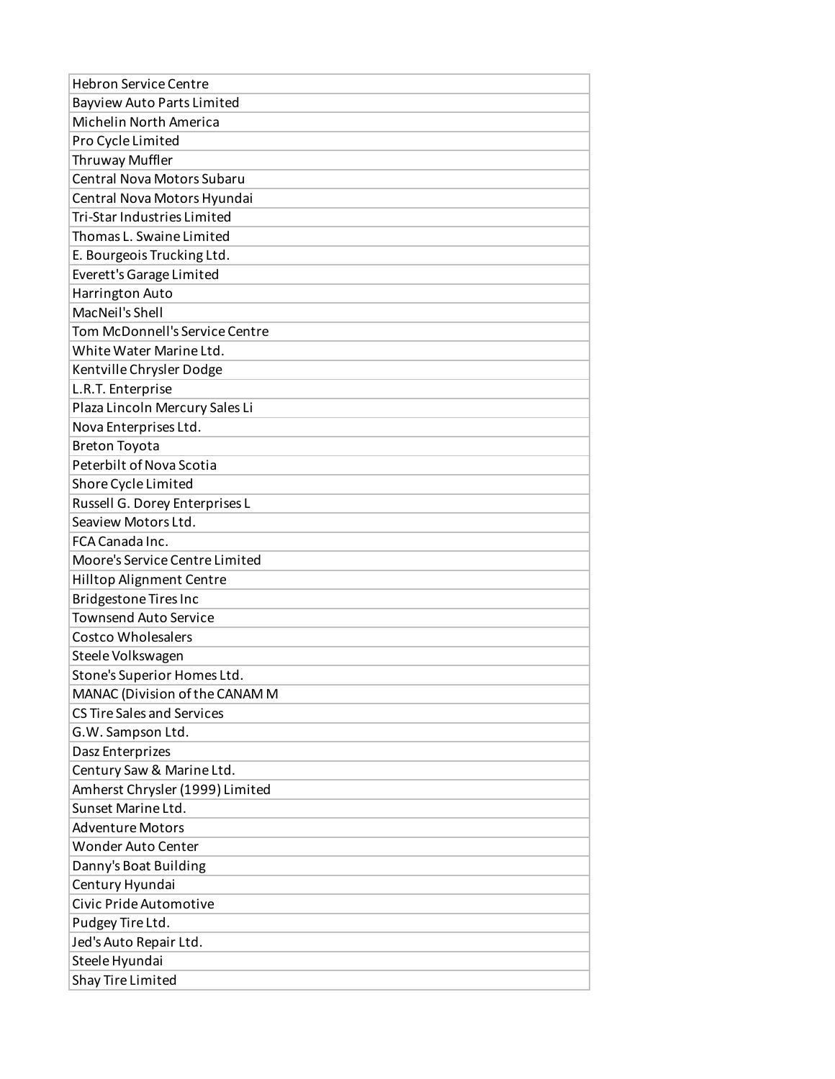| <b>Hebron Service Centre</b>       |
|------------------------------------|
| <b>Bayview Auto Parts Limited</b>  |
| Michelin North America             |
| Pro Cycle Limited                  |
| Thruway Muffler                    |
| <b>Central Nova Motors Subaru</b>  |
| Central Nova Motors Hyundai        |
| <b>Tri-Star Industries Limited</b> |
| Thomas L. Swaine Limited           |
| E. Bourgeois Trucking Ltd.         |
| Everett's Garage Limited           |
| Harrington Auto                    |
| MacNeil's Shell                    |
| Tom McDonnell's Service Centre     |
| White Water Marine Ltd.            |
| Kentville Chrysler Dodge           |
| L.R.T. Enterprise                  |
| Plaza Lincoln Mercury Sales Li     |
| Nova Enterprises Ltd.              |
| <b>Breton Toyota</b>               |
| Peterbilt of Nova Scotia           |
| Shore Cycle Limited                |
| Russell G. Dorey Enterprises L     |
| Seaview Motors Ltd.                |
| FCA Canada Inc.                    |
| Moore's Service Centre Limited     |
| Hilltop Alignment Centre           |
| Bridgestone Tires Inc              |
| <b>Townsend Auto Service</b>       |
| <b>Costco Wholesalers</b>          |
| Steele Volkswagen                  |
| Stone's Superior Homes Ltd.        |
| MANAC (Division of the CANAM M     |
| <b>CS Tire Sales and Services</b>  |
| G.W. Sampson Ltd.                  |
| Dasz Enterprizes                   |
| Century Saw & Marine Ltd.          |
| Amherst Chrysler (1999) Limited    |
| Sunset Marine Ltd.                 |
| <b>Adventure Motors</b>            |
| <b>Wonder Auto Center</b>          |
| Danny's Boat Building              |
| Century Hyundai                    |
| Civic Pride Automotive             |
| Pudgey Tire Ltd.                   |
| Jed's Auto Repair Ltd.             |
| Steele Hyundai                     |
| Shay Tire Limited                  |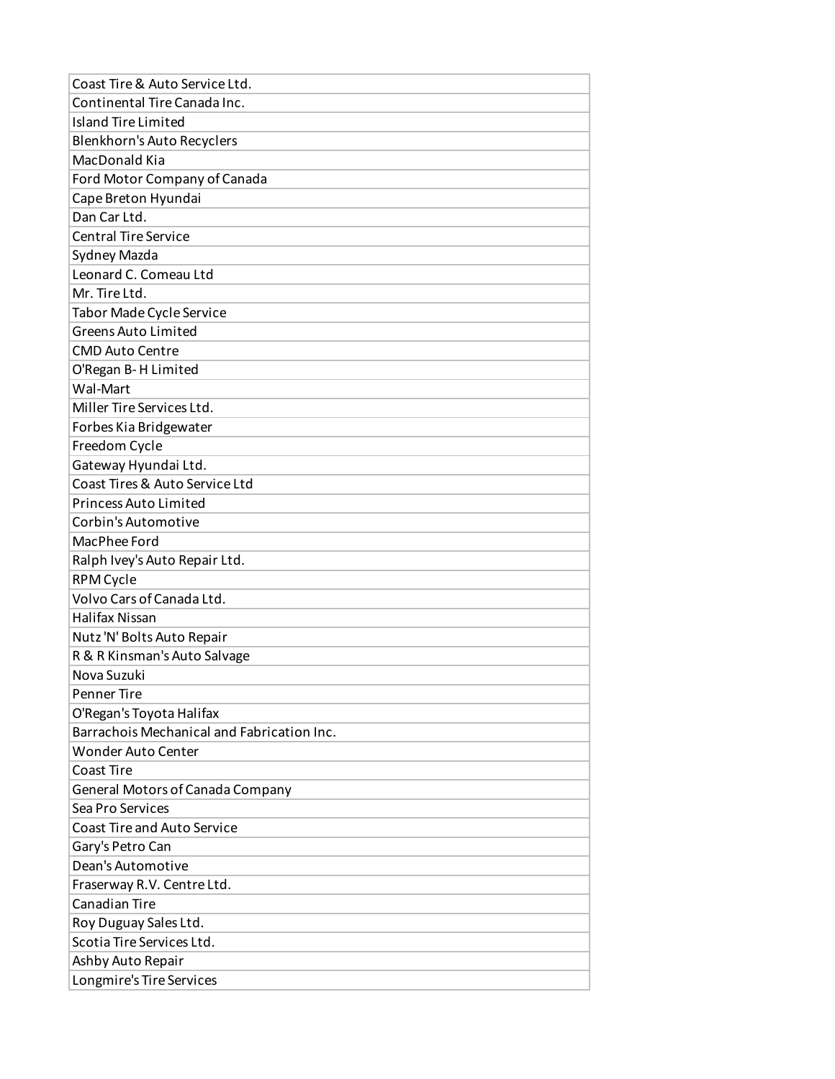| Coast Tire & Auto Service Ltd.             |
|--------------------------------------------|
| Continental Tire Canada Inc.               |
| <b>Island Tire Limited</b>                 |
| Blenkhorn's Auto Recyclers                 |
| MacDonald Kia                              |
| Ford Motor Company of Canada               |
| Cape Breton Hyundai                        |
| Dan Car Ltd.                               |
| <b>Central Tire Service</b>                |
| Sydney Mazda                               |
| Leonard C. Comeau Ltd                      |
| Mr. Tire Ltd.                              |
| Tabor Made Cycle Service                   |
| <b>Greens Auto Limited</b>                 |
| <b>CMD Auto Centre</b>                     |
| O'Regan B-H Limited                        |
| Wal-Mart                                   |
| Miller Tire Services Ltd.                  |
| Forbes Kia Bridgewater                     |
| Freedom Cycle                              |
| Gateway Hyundai Ltd.                       |
| Coast Tires & Auto Service Ltd             |
| <b>Princess Auto Limited</b>               |
| Corbin's Automotive                        |
| MacPhee Ford                               |
| Ralph Ivey's Auto Repair Ltd.              |
| RPM Cycle                                  |
| Volvo Cars of Canada Ltd.                  |
| Halifax Nissan                             |
| Nutz 'N' Bolts Auto Repair                 |
| R & R Kinsman's Auto Salvage               |
| Nova Suzuki                                |
| <b>Penner Tire</b>                         |
| O'Regan's Toyota Halifax                   |
| Barrachois Mechanical and Fabrication Inc. |
| Wonder Auto Center                         |
| Coast Tire                                 |
| General Motors of Canada Company           |
| Sea Pro Services                           |
| <b>Coast Tire and Auto Service</b>         |
| Gary's Petro Can                           |
| Dean's Automotive                          |
| Fraserway R.V. Centre Ltd.                 |
| <b>Canadian Tire</b>                       |
| Roy Duguay Sales Ltd.                      |
| Scotia Tire Services Ltd.                  |
| Ashby Auto Repair                          |
| Longmire's Tire Services                   |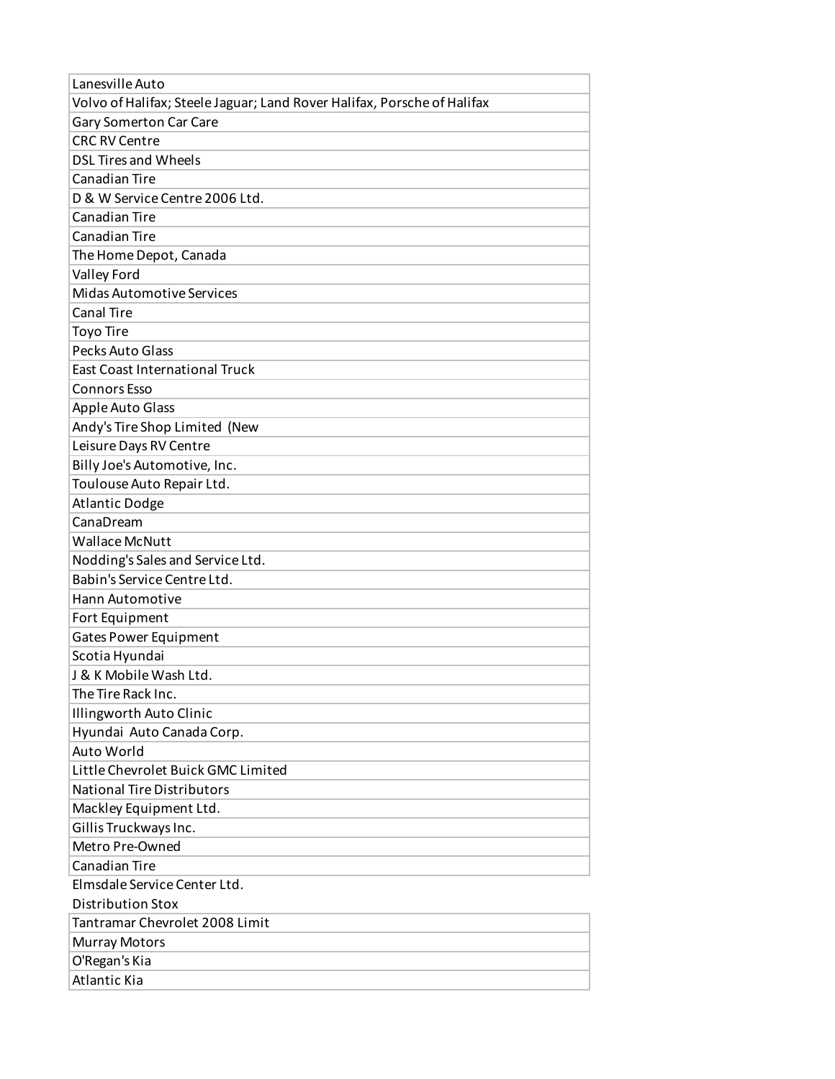| Lanesville Auto                                                         |
|-------------------------------------------------------------------------|
| Volvo of Halifax; Steele Jaguar; Land Rover Halifax, Porsche of Halifax |
| Gary Somerton Car Care                                                  |
| <b>CRC RV Centre</b>                                                    |
| <b>DSL Tires and Wheels</b>                                             |
| <b>Canadian Tire</b>                                                    |
| D & W Service Centre 2006 Ltd.                                          |
| Canadian Tire                                                           |
| <b>Canadian Tire</b>                                                    |
| The Home Depot, Canada                                                  |
| Valley Ford                                                             |
| <b>Midas Automotive Services</b>                                        |
| <b>Canal Tire</b>                                                       |
| Toyo Tire                                                               |
| Pecks Auto Glass                                                        |
| <b>East Coast International Truck</b>                                   |
| <b>Connors Esso</b>                                                     |
| <b>Apple Auto Glass</b>                                                 |
| Andy's Tire Shop Limited (New                                           |
| Leisure Days RV Centre                                                  |
| Billy Joe's Automotive, Inc.                                            |
| Toulouse Auto Repair Ltd.                                               |
| <b>Atlantic Dodge</b>                                                   |
| CanaDream                                                               |
| <b>Wallace McNutt</b>                                                   |
| Nodding's Sales and Service Ltd.                                        |
| Babin's Service Centre Ltd.                                             |
| Hann Automotive                                                         |
| Fort Equipment                                                          |
| <b>Gates Power Equipment</b>                                            |
| Scotia Hyundai                                                          |
| J & K Mobile Wash Ltd.                                                  |
| The Tire Rack Inc.                                                      |
| Illingworth Auto Clinic                                                 |
| Hyundai Auto Canada Corp.                                               |
| Auto World                                                              |
| Little Chevrolet Buick GMC Limited                                      |
| <b>National Tire Distributors</b>                                       |
| Mackley Equipment Ltd.                                                  |
| Gillis Truckways Inc.                                                   |
| Metro Pre-Owned                                                         |
| Canadian Tire                                                           |
| Elmsdale Service Center Ltd.                                            |
| <b>Distribution Stox</b>                                                |
| Tantramar Chevrolet 2008 Limit                                          |
| <b>Murray Motors</b>                                                    |
| O'Regan's Kia                                                           |
| <b>Atlantic Kia</b>                                                     |
|                                                                         |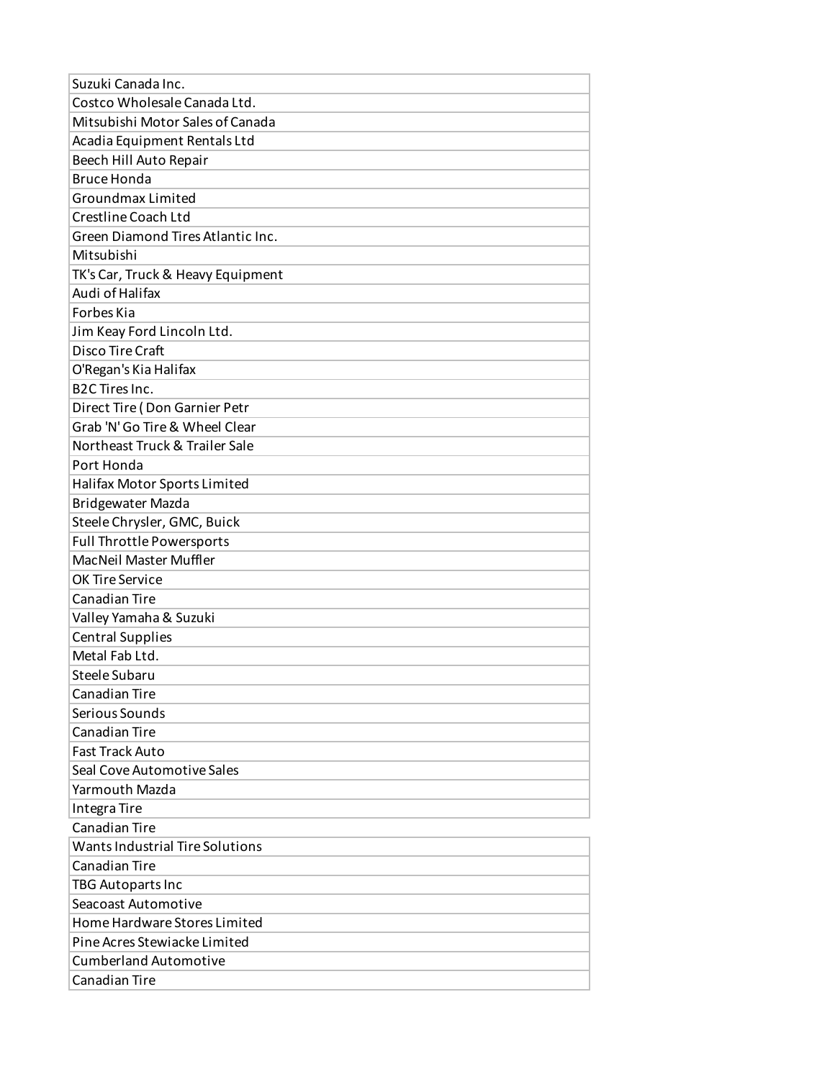| Suzuki Canada Inc.                |
|-----------------------------------|
| Costco Wholesale Canada Ltd.      |
| Mitsubishi Motor Sales of Canada  |
| Acadia Equipment Rentals Ltd      |
| Beech Hill Auto Repair            |
| <b>Bruce Honda</b>                |
| Groundmax Limited                 |
| Crestline Coach Ltd               |
| Green Diamond Tires Atlantic Inc. |
| Mitsubishi                        |
| TK's Car, Truck & Heavy Equipment |
| Audi of Halifax                   |
| <b>Forbes Kia</b>                 |
| Jim Keay Ford Lincoln Ltd.        |
| Disco Tire Craft                  |
| O'Regan's Kia Halifax             |
| <b>B2C Tires Inc.</b>             |
| Direct Tire (Don Garnier Petr     |
| Grab 'N' Go Tire & Wheel Clear    |
| Northeast Truck & Trailer Sale    |
| Port Honda                        |
| Halifax Motor Sports Limited      |
| <b>Bridgewater Mazda</b>          |
| Steele Chrysler, GMC, Buick       |
| <b>Full Throttle Powersports</b>  |
| MacNeil Master Muffler            |
| OK Tire Service                   |
| Canadian Tire                     |
| Valley Yamaha & Suzuki            |
| <b>Central Supplies</b>           |
| Metal Fab Ltd.                    |
| Steele Subaru                     |
| Canadian Tire                     |
| Serious Sounds                    |
| Canadian Tire                     |
| <b>Fast Track Auto</b>            |
| Seal Cove Automotive Sales        |
| Yarmouth Mazda                    |
| Integra Tire                      |
| Canadian Tire                     |
| Wants Industrial Tire Solutions   |
| Canadian Tire                     |
| TBG Autoparts Inc                 |
| Seacoast Automotive               |
| Home Hardware Stores Limited      |
| Pine Acres Stewiacke Limited      |
| <b>Cumberland Automotive</b>      |
| Canadian Tire                     |
|                                   |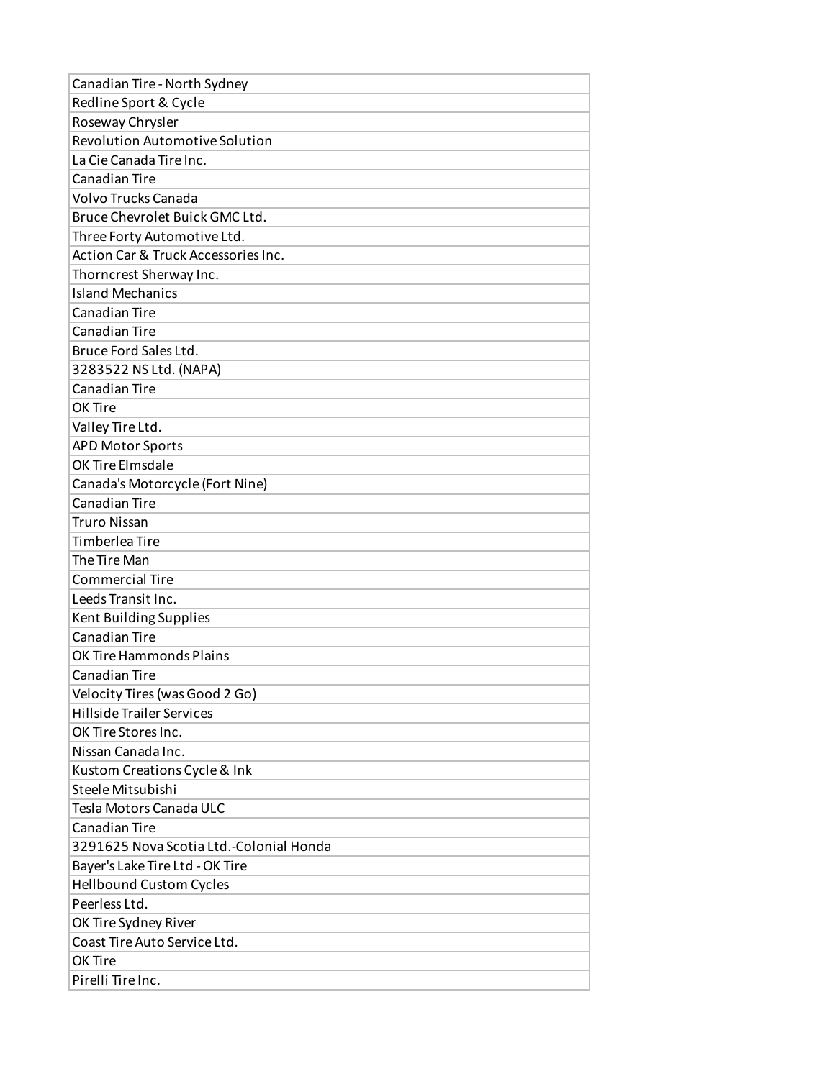| Canadian Tire - North Sydney            |
|-----------------------------------------|
| Redline Sport & Cycle                   |
| Roseway Chrysler                        |
| <b>Revolution Automotive Solution</b>   |
| La Cie Canada Tire Inc.                 |
| <b>Canadian Tire</b>                    |
| Volvo Trucks Canada                     |
| Bruce Chevrolet Buick GMC Ltd.          |
| Three Forty Automotive Ltd.             |
| Action Car & Truck Accessories Inc.     |
| Thorncrest Sherway Inc.                 |
| <b>Island Mechanics</b>                 |
| <b>Canadian Tire</b>                    |
| <b>Canadian Tire</b>                    |
| Bruce Ford Sales Ltd.                   |
| 3283522 NS Ltd. (NAPA)                  |
| Canadian Tire                           |
| OK Tire                                 |
| Valley Tire Ltd.                        |
| <b>APD Motor Sports</b>                 |
| OK Tire Elmsdale                        |
| Canada's Motorcycle (Fort Nine)         |
| <b>Canadian Tire</b>                    |
| <b>Truro Nissan</b>                     |
| <b>Timberlea Tire</b>                   |
| The Tire Man                            |
| <b>Commercial Tire</b>                  |
| Leeds Transit Inc.                      |
| Kent Building Supplies                  |
| Canadian Tire                           |
| OK Tire Hammonds Plains                 |
| <b>Canadian Tire</b>                    |
| Velocity Tires (was Good 2 Go)          |
| <b>Hillside Trailer Services</b>        |
| OK Tire Stores Inc.                     |
| Nissan Canada Inc.                      |
| Kustom Creations Cycle & Ink            |
| Steele Mitsubishi                       |
| Tesla Motors Canada ULC                 |
| <b>Canadian Tire</b>                    |
| 3291625 Nova Scotia Ltd.-Colonial Honda |
| Bayer's Lake Tire Ltd - OK Tire         |
| <b>Hellbound Custom Cycles</b>          |
| Peerless Ltd.                           |
| OK Tire Sydney River                    |
| Coast Tire Auto Service Ltd.            |
| OK Tire                                 |
| Pirelli Tire Inc.                       |
|                                         |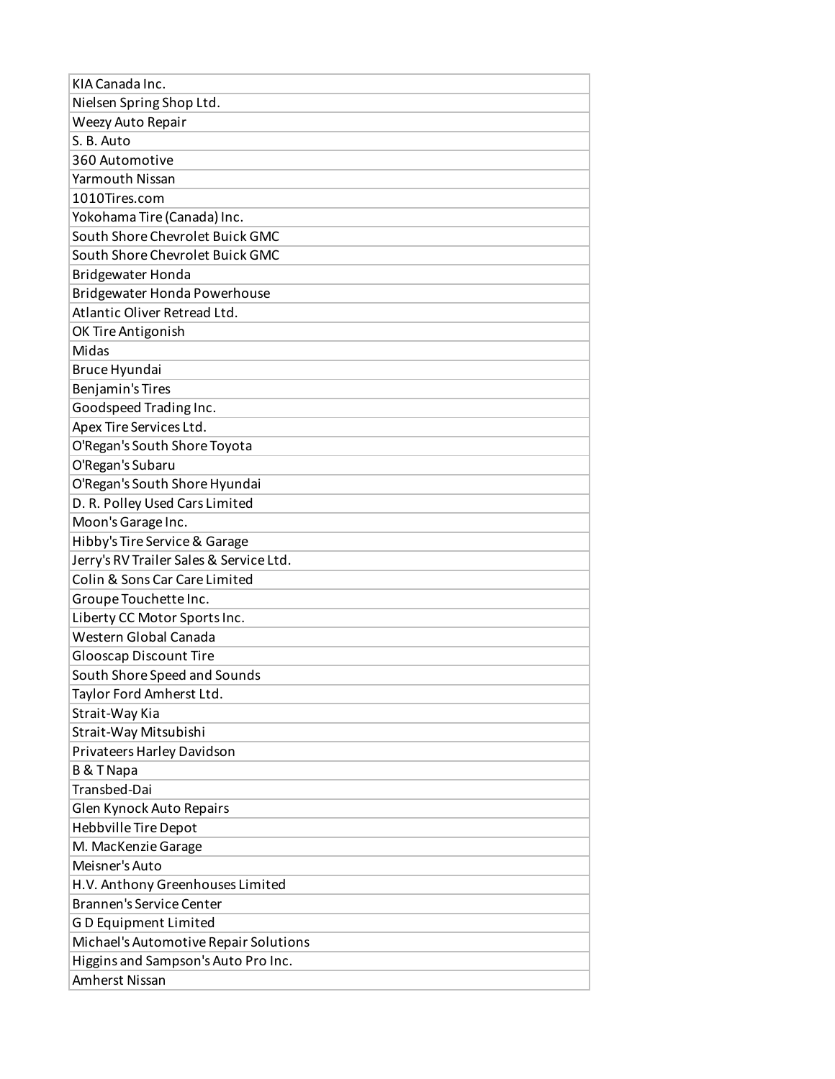| KIA Canada Inc.                         |
|-----------------------------------------|
| Nielsen Spring Shop Ltd.                |
| Weezy Auto Repair                       |
| S. B. Auto                              |
| 360 Automotive                          |
| Yarmouth Nissan                         |
| 1010Tires.com                           |
| Yokohama Tire (Canada) Inc.             |
| South Shore Chevrolet Buick GMC         |
| South Shore Chevrolet Buick GMC         |
| <b>Bridgewater Honda</b>                |
| Bridgewater Honda Powerhouse            |
| Atlantic Oliver Retread Ltd.            |
| OK Tire Antigonish                      |
| Midas                                   |
| Bruce Hyundai                           |
| Benjamin's Tires                        |
| Goodspeed Trading Inc.                  |
| Apex Tire Services Ltd.                 |
| O'Regan's South Shore Toyota            |
| O'Regan's Subaru                        |
| O'Regan's South Shore Hyundai           |
| D. R. Polley Used Cars Limited          |
| Moon's Garage Inc.                      |
| Hibby's Tire Service & Garage           |
| Jerry's RV Trailer Sales & Service Ltd. |
| Colin & Sons Car Care Limited           |
| Groupe Touchette Inc.                   |
| Liberty CC Motor Sports Inc.            |
| Western Global Canada                   |
| Glooscap Discount Tire                  |
| South Shore Speed and Sounds            |
| Taylor Ford Amherst Ltd.                |
| Strait-Way Kia                          |
| Strait-Way Mitsubishi                   |
| Privateers Harley Davidson              |
| <b>B &amp; T Napa</b>                   |
| Transbed-Dai                            |
| Glen Kynock Auto Repairs                |
| Hebbville Tire Depot                    |
| M. MacKenzie Garage                     |
| Meisner's Auto                          |
| H.V. Anthony Greenhouses Limited        |
| <b>Brannen's Service Center</b>         |
| GD Equipment Limited                    |
| Michael's Automotive Repair Solutions   |
| Higgins and Sampson's Auto Pro Inc.     |
| Amherst Nissan                          |
|                                         |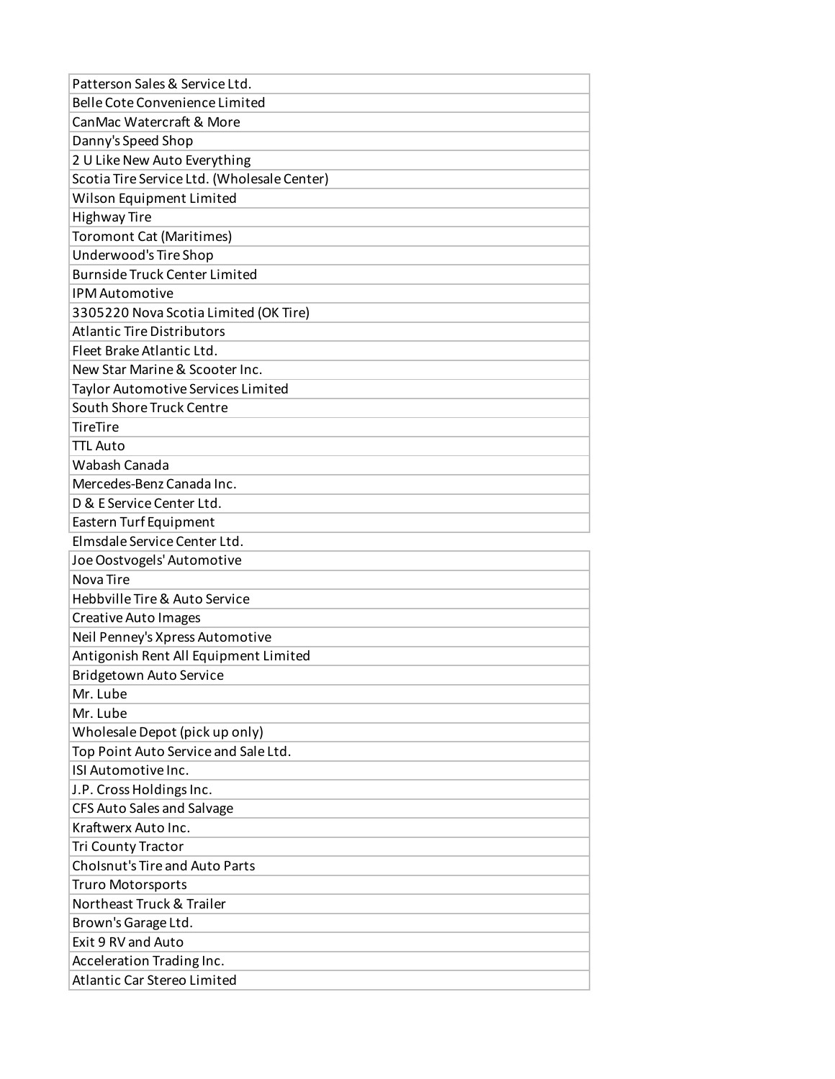| Patterson Sales & Service Ltd.              |
|---------------------------------------------|
| Belle Cote Convenience Limited              |
| CanMac Watercraft & More                    |
| Danny's Speed Shop                          |
| 2 U Like New Auto Everything                |
| Scotia Tire Service Ltd. (Wholesale Center) |
| Wilson Equipment Limited                    |
| <b>Highway Tire</b>                         |
| <b>Toromont Cat (Maritimes)</b>             |
| Underwood's Tire Shop                       |
| <b>Burnside Truck Center Limited</b>        |
| <b>IPM Automotive</b>                       |
| 3305220 Nova Scotia Limited (OK Tire)       |
| <b>Atlantic Tire Distributors</b>           |
| Fleet Brake Atlantic Ltd.                   |
| New Star Marine & Scooter Inc.              |
| <b>Taylor Automotive Services Limited</b>   |
| South Shore Truck Centre                    |
| <b>TireTire</b>                             |
| <b>TTL Auto</b>                             |
| Wabash Canada                               |
| Mercedes-Benz Canada Inc.                   |
| D & E Service Center Ltd.                   |
| Eastern Turf Equipment                      |
| Elmsdale Service Center Ltd.                |
| Joe Oostvogels' Automotive                  |
| Nova Tire                                   |
| Hebbville Tire & Auto Service               |
| <b>Creative Auto Images</b>                 |
| Neil Penney's Xpress Automotive             |
| Antigonish Rent All Equipment Limited       |
| Bridgetown Auto Service                     |
| Mr. Lube                                    |
| Mr. Lube                                    |
| Wholesale Depot (pick up only)              |
| Top Point Auto Service and Sale Ltd.        |
| ISI Automotive Inc.                         |
| J.P. Cross Holdings Inc.                    |
| CFS Auto Sales and Salvage                  |
| Kraftwerx Auto Inc.                         |
| Tri County Tractor                          |
| <b>Cholsnut's Tire and Auto Parts</b>       |
| Truro Motorsports                           |
| Northeast Truck & Trailer                   |
| Brown's Garage Ltd.                         |
| Exit 9 RV and Auto                          |
| Acceleration Trading Inc.                   |
| Atlantic Car Stereo Limited                 |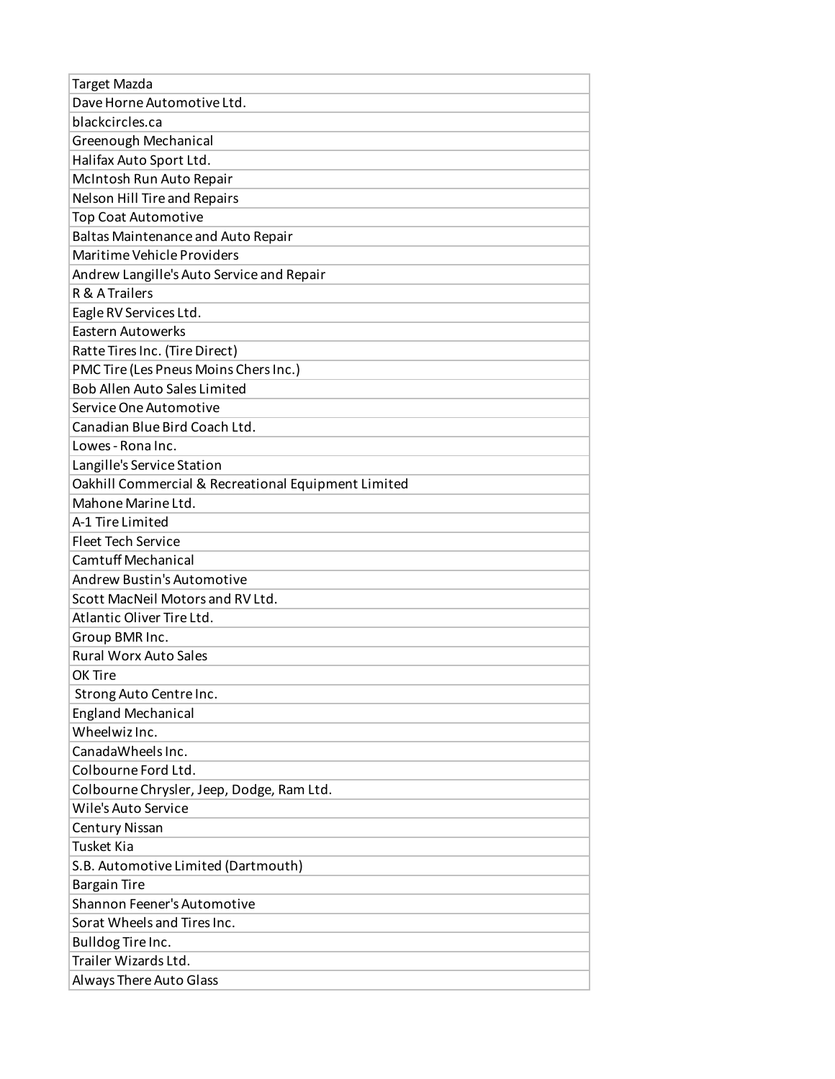| Target Mazda                                        |
|-----------------------------------------------------|
| Dave Horne Automotive Ltd.                          |
| blackcircles.ca                                     |
| Greenough Mechanical                                |
| Halifax Auto Sport Ltd.                             |
| McIntosh Run Auto Repair                            |
| Nelson Hill Tire and Repairs                        |
| <b>Top Coat Automotive</b>                          |
| <b>Baltas Maintenance and Auto Repair</b>           |
| Maritime Vehicle Providers                          |
| Andrew Langille's Auto Service and Repair           |
| R & A Trailers                                      |
| Eagle RV Services Ltd.                              |
| <b>Eastern Autowerks</b>                            |
| Ratte Tires Inc. (Tire Direct)                      |
| PMC Tire (Les Pneus Moins Chers Inc.)               |
| <b>Bob Allen Auto Sales Limited</b>                 |
| Service One Automotive                              |
| Canadian Blue Bird Coach Ltd.                       |
| Lowes - Rona Inc.                                   |
| Langille's Service Station                          |
| Oakhill Commercial & Recreational Equipment Limited |
| Mahone Marine Ltd.                                  |
| A-1 Tire Limited                                    |
| <b>Fleet Tech Service</b>                           |
| Camtuff Mechanical                                  |
| Andrew Bustin's Automotive                          |
| Scott MacNeil Motors and RV Ltd.                    |
| Atlantic Oliver Tire Ltd.                           |
| Group BMR Inc.                                      |
| <b>Rural Worx Auto Sales</b>                        |
| OK Tire                                             |
| Strong Auto Centre Inc.                             |
| <b>England Mechanical</b>                           |
| Wheelwiz Inc.                                       |
| CanadaWheels Inc.                                   |
| Colbourne Ford Ltd.                                 |
| Colbourne Chrysler, Jeep, Dodge, Ram Ltd.           |
| Wile's Auto Service                                 |
| <b>Century Nissan</b>                               |
| Tusket Kia                                          |
| S.B. Automotive Limited (Dartmouth)                 |
| <b>Bargain Tire</b>                                 |
| Shannon Feener's Automotive                         |
| Sorat Wheels and Tires Inc.                         |
| Bulldog Tire Inc.                                   |
| Trailer Wizards Ltd.                                |
| Always There Auto Glass                             |
|                                                     |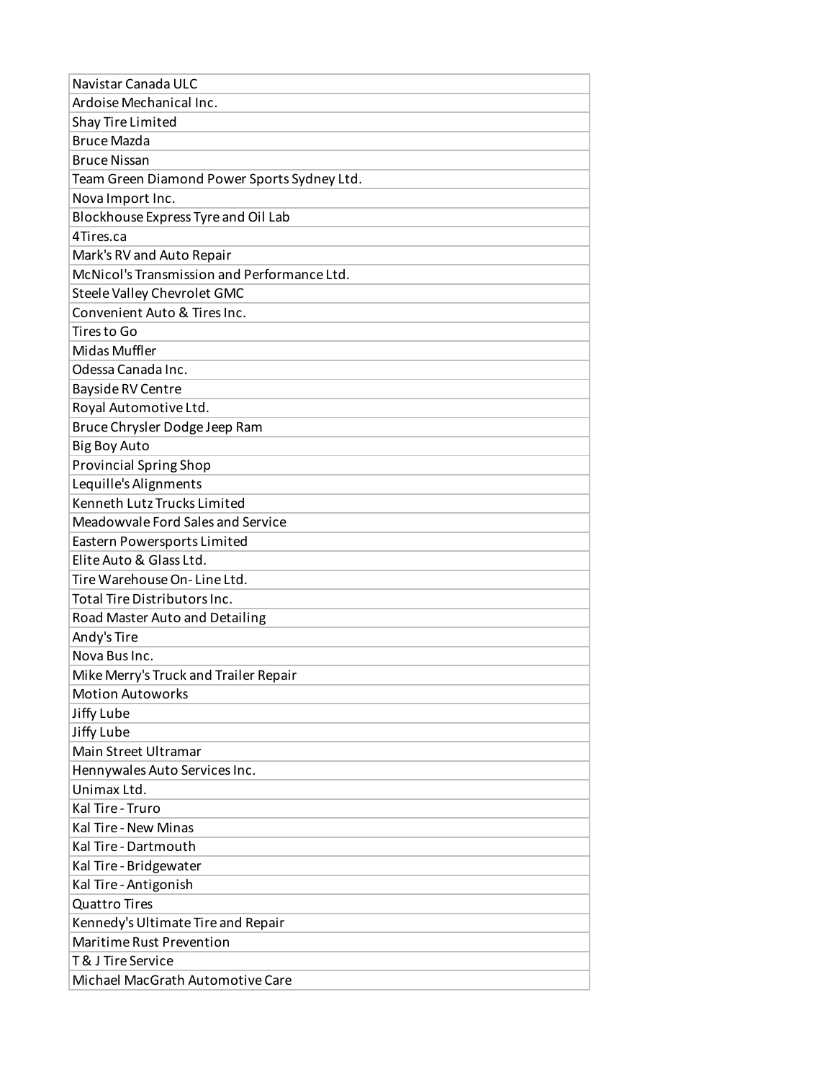| Ardoise Mechanical Inc.<br>Shay Tire Limited<br><b>Bruce Mazda</b><br><b>Bruce Nissan</b><br>Team Green Diamond Power Sports Sydney Ltd.<br>Nova Import Inc.<br>Blockhouse Express Tyre and Oil Lab<br>4Tires.ca<br>Mark's RV and Auto Repair<br>McNicol's Transmission and Performance Ltd.<br>Steele Valley Chevrolet GMC<br>Convenient Auto & Tires Inc.<br>Tires to Go<br>Midas Muffler<br>Odessa Canada Inc.<br>Bayside RV Centre<br>Royal Automotive Ltd.<br>Bruce Chrysler Dodge Jeep Ram<br><b>Big Boy Auto</b><br><b>Provincial Spring Shop</b><br>Lequille's Alignments<br>Kenneth Lutz Trucks Limited<br>Meadowvale Ford Sales and Service |
|-------------------------------------------------------------------------------------------------------------------------------------------------------------------------------------------------------------------------------------------------------------------------------------------------------------------------------------------------------------------------------------------------------------------------------------------------------------------------------------------------------------------------------------------------------------------------------------------------------------------------------------------------------|
|                                                                                                                                                                                                                                                                                                                                                                                                                                                                                                                                                                                                                                                       |
|                                                                                                                                                                                                                                                                                                                                                                                                                                                                                                                                                                                                                                                       |
|                                                                                                                                                                                                                                                                                                                                                                                                                                                                                                                                                                                                                                                       |
|                                                                                                                                                                                                                                                                                                                                                                                                                                                                                                                                                                                                                                                       |
|                                                                                                                                                                                                                                                                                                                                                                                                                                                                                                                                                                                                                                                       |
|                                                                                                                                                                                                                                                                                                                                                                                                                                                                                                                                                                                                                                                       |
|                                                                                                                                                                                                                                                                                                                                                                                                                                                                                                                                                                                                                                                       |
|                                                                                                                                                                                                                                                                                                                                                                                                                                                                                                                                                                                                                                                       |
|                                                                                                                                                                                                                                                                                                                                                                                                                                                                                                                                                                                                                                                       |
|                                                                                                                                                                                                                                                                                                                                                                                                                                                                                                                                                                                                                                                       |
|                                                                                                                                                                                                                                                                                                                                                                                                                                                                                                                                                                                                                                                       |
|                                                                                                                                                                                                                                                                                                                                                                                                                                                                                                                                                                                                                                                       |
|                                                                                                                                                                                                                                                                                                                                                                                                                                                                                                                                                                                                                                                       |
|                                                                                                                                                                                                                                                                                                                                                                                                                                                                                                                                                                                                                                                       |
|                                                                                                                                                                                                                                                                                                                                                                                                                                                                                                                                                                                                                                                       |
|                                                                                                                                                                                                                                                                                                                                                                                                                                                                                                                                                                                                                                                       |
|                                                                                                                                                                                                                                                                                                                                                                                                                                                                                                                                                                                                                                                       |
|                                                                                                                                                                                                                                                                                                                                                                                                                                                                                                                                                                                                                                                       |
|                                                                                                                                                                                                                                                                                                                                                                                                                                                                                                                                                                                                                                                       |
|                                                                                                                                                                                                                                                                                                                                                                                                                                                                                                                                                                                                                                                       |
|                                                                                                                                                                                                                                                                                                                                                                                                                                                                                                                                                                                                                                                       |
|                                                                                                                                                                                                                                                                                                                                                                                                                                                                                                                                                                                                                                                       |
|                                                                                                                                                                                                                                                                                                                                                                                                                                                                                                                                                                                                                                                       |
| Eastern Powersports Limited                                                                                                                                                                                                                                                                                                                                                                                                                                                                                                                                                                                                                           |
| Elite Auto & Glass Ltd.                                                                                                                                                                                                                                                                                                                                                                                                                                                                                                                                                                                                                               |
| Tire Warehouse On-Line Ltd.                                                                                                                                                                                                                                                                                                                                                                                                                                                                                                                                                                                                                           |
| <b>Total Tire Distributors Inc.</b>                                                                                                                                                                                                                                                                                                                                                                                                                                                                                                                                                                                                                   |
| Road Master Auto and Detailing                                                                                                                                                                                                                                                                                                                                                                                                                                                                                                                                                                                                                        |
| Andy's Tire                                                                                                                                                                                                                                                                                                                                                                                                                                                                                                                                                                                                                                           |
| Nova Bus Inc.                                                                                                                                                                                                                                                                                                                                                                                                                                                                                                                                                                                                                                         |
| Mike Merry's Truck and Trailer Repair                                                                                                                                                                                                                                                                                                                                                                                                                                                                                                                                                                                                                 |
| <b>Motion Autoworks</b>                                                                                                                                                                                                                                                                                                                                                                                                                                                                                                                                                                                                                               |
| Jiffy Lube                                                                                                                                                                                                                                                                                                                                                                                                                                                                                                                                                                                                                                            |
| Jiffy Lube                                                                                                                                                                                                                                                                                                                                                                                                                                                                                                                                                                                                                                            |
| Main Street Ultramar                                                                                                                                                                                                                                                                                                                                                                                                                                                                                                                                                                                                                                  |
| Hennywales Auto Services Inc.                                                                                                                                                                                                                                                                                                                                                                                                                                                                                                                                                                                                                         |
| Unimax Ltd.                                                                                                                                                                                                                                                                                                                                                                                                                                                                                                                                                                                                                                           |
| Kal Tire - Truro                                                                                                                                                                                                                                                                                                                                                                                                                                                                                                                                                                                                                                      |
| Kal Tire - New Minas                                                                                                                                                                                                                                                                                                                                                                                                                                                                                                                                                                                                                                  |
| Kal Tire - Dartmouth                                                                                                                                                                                                                                                                                                                                                                                                                                                                                                                                                                                                                                  |
| Kal Tire - Bridgewater                                                                                                                                                                                                                                                                                                                                                                                                                                                                                                                                                                                                                                |
| Kal Tire - Antigonish                                                                                                                                                                                                                                                                                                                                                                                                                                                                                                                                                                                                                                 |
| <b>Quattro Tires</b>                                                                                                                                                                                                                                                                                                                                                                                                                                                                                                                                                                                                                                  |
|                                                                                                                                                                                                                                                                                                                                                                                                                                                                                                                                                                                                                                                       |
| Kennedy's Ultimate Tire and Repair                                                                                                                                                                                                                                                                                                                                                                                                                                                                                                                                                                                                                    |
| Maritime Rust Prevention                                                                                                                                                                                                                                                                                                                                                                                                                                                                                                                                                                                                                              |
| <b>T&amp; J Tire Service</b>                                                                                                                                                                                                                                                                                                                                                                                                                                                                                                                                                                                                                          |